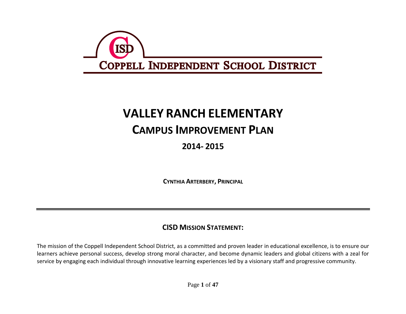

# **VALLEY RANCH ELEMENTARY**

## **CAMPUS IMPROVEMENT PLAN**

### **2014- 2015**

**CYNTHIA ARTERBERY, PRINCIPAL**

#### **CISD MISSION STATEMENT:**

The mission of the Coppell Independent School District, as a committed and proven leader in educational excellence, is to ensure our learners achieve personal success, develop strong moral character, and become dynamic leaders and global citizens with a zeal for service by engaging each individual through innovative learning experiences led by a visionary staff and progressive community.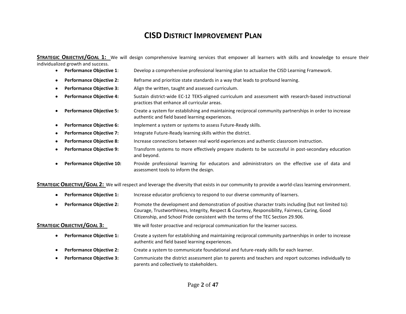#### **CISD DISTRICT IMPROVEMENT PLAN**

**STRATEGIC OBJECTIVE/GOAL 1:** We will design comprehensive learning services that empower all learners with skills and knowledge to ensure their individualized growth and success.

- **Performance Objective 1**: Develop a comprehensive professional learning plan to actualize the CISD Learning Framework.
- **Performance Objective 2:** Reframe and prioritize state standards in a way that leads to profound learning.
- **Performance Objective 3:** Align the written, taught and assessed curriculum.
- **Performance Objective 4:** Sustain district-wide EC-12 TEKS-aligned curriculum and assessment with research-based instructional practices that enhance all curricular areas.
- **Performance Objective 5:** Create a system for establishing and maintaining reciprocal community partnerships in order to increase authentic and field based learning experiences.
- **Performance Objective 6:** Implement a system or systems to assess Future-Ready skills.
- **Performance Objective 7:** Integrate Future-Ready learning skills within the district.
- **Performance Objective 8:** Increase connections between real world experiences and authentic classroom instruction.
- **Performance Objective 9:** Transform systems to more effectively prepare students to be successful in post-secondary education and beyond.
- **Performance Objective 10:** Provide professional learning for educators and administrators on the effective use of data and assessment tools to inform the design.

**STRATEGIC OBJECTIVE/GOAL 2:** We will respect and leverage the diversity that exists in our community to provide a world-class learning environment.

- **Performance Objective 1:** Increase educator proficiency to respond to our diverse community of learners.
- **Performance Objective 2:** Promote the development and demonstration of positive character traits including (but not limited to): Courage, Trustworthiness, Integrity, Respect & Courtesy, Responsibility, Fairness, Caring, Good Citizenship, and School Pride consistent with the terms of the TEC Section 29.906.

#### **STRATEGIC OBJECTIVE/GOAL 3:** We will foster proactive and reciprocal communication for the learner success.

- **Performance Objective 1:** Create a system for establishing and maintaining reciprocal community partnerships in order to increase authentic and field based learning experiences.
- **Performance Objective 2:** Create a system to communicate foundational and future-ready skills for each learner.
- **Performance Objective 3:** Communicate the district assessment plan to parents and teachers and report outcomes individually to parents and collectively to stakeholders.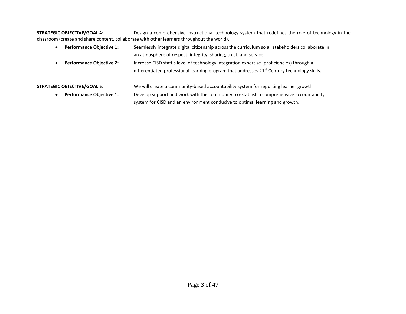#### **STRATEGIC OBJECTIVE/GOAL 4:** Design a comprehensive instructional technology system that redefines the role of technology in the classroom (create and share content, collaborate with other learners throughout the world).

- **Performance Objective 1:** Seamlessly integrate digital citizenship across the curriculum so all stakeholders collaborate in an atmosphere of respect, integrity, sharing, trust, and service.
- **Performance Objective 2:** Increase CISD staff's level of technology integration expertise (proficiencies) through a differentiated professional learning program that addresses 21<sup>st</sup> Century technology skills.

**STRATEGIC OBJECTIVE/GOAL 5:** We will create a community-based accountability system for reporting learner growth.

 **Performance Objective 1:** Develop support and work with the community to establish a comprehensive accountability system for CISD and an environment conducive to optimal learning and growth.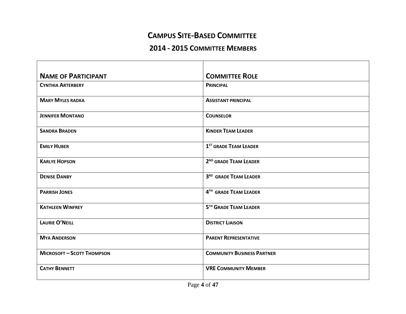#### **CAMPUS SITE-BASED COMMITTEE**

#### **2014 - 2015 COMMITTEE MEMBERS**

| <b>NAME OF PARTICIPANT</b>        | <b>COMMITTEE ROLE</b>             |
|-----------------------------------|-----------------------------------|
| <b>CYNTHIA ARTERBERY</b>          | <b>PRINCIPAL</b>                  |
| <b>MARY MYLES RADKA</b>           | <b>ASSISTANT PRINCIPAL</b>        |
| <b>JENNIFER MONTANO</b>           | <b>COUNSELOR</b>                  |
| <b>SANDRA BRADEN</b>              | <b>KINDER TEAM LEADER</b>         |
| <b>EMILY HUBER</b>                | 1 <sup>ST</sup> GRADE TEAM LEADER |
| <b>KARLYE HOPSON</b>              | 2 <sup>ND</sup> GRADE TEAM LEADER |
| <b>DENISE DANBY</b>               | 3RD GRADE TEAM LEADER             |
| <b>PARRISH JONES</b>              | 4TH GRADE TEAM LEADER             |
| <b>KATHLEEN WINFREY</b>           | 5TH GRADE TEAM LEADER             |
| <b>LAURIE O'NEILL</b>             | <b>DISTRICT LIAISON</b>           |
| <b>MYA ANDERSON</b>               | <b>PARENT REPRESENTATIVE</b>      |
| <b>MICROSOFT - SCOTT THOMPSON</b> | <b>COMMUNITY BUSINESS PARTNER</b> |
| <b>CATHY BENNETT</b>              | <b>VRE COMMUNITY MEMBER</b>       |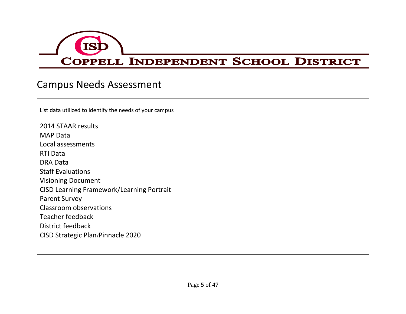

## Campus Needs Assessment

| List data utilized to identify the needs of your campus |
|---------------------------------------------------------|
| 2014 STAAR results                                      |
| <b>MAP Data</b>                                         |
| Local assessments                                       |
| RTI Data                                                |
| <b>DRA Data</b>                                         |
| <b>Staff Evaluations</b>                                |
| <b>Visioning Document</b>                               |
| <b>CISD Learning Framework/Learning Portrait</b>        |
| <b>Parent Survey</b>                                    |
| Classroom observations                                  |
| Teacher feedback                                        |
| District feedback                                       |
| CISD Strategic Plan/Pinnacle 2020                       |
|                                                         |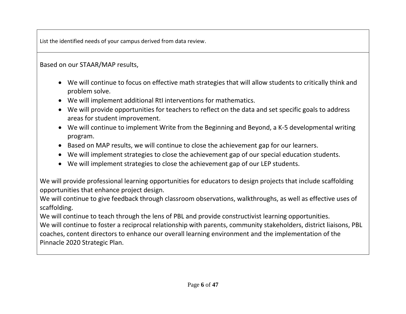List the identified needs of your campus derived from data review.

Based on our STAAR/MAP results,

- We will continue to focus on effective math strategies that will allow students to critically think and problem solve.
- We will implement additional RtI interventions for mathematics.
- We will provide opportunities for teachers to reflect on the data and set specific goals to address areas for student improvement.
- We will continue to implement Write from the Beginning and Beyond, a K-5 developmental writing program.
- Based on MAP results, we will continue to close the achievement gap for our learners.
- We will implement strategies to close the achievement gap of our special education students.
- We will implement strategies to close the achievement gap of our LEP students.

We will provide professional learning opportunities for educators to design projects that include scaffolding opportunities that enhance project design.

We will continue to give feedback through classroom observations, walkthroughs, as well as effective uses of scaffolding.

We will continue to teach through the lens of PBL and provide constructivist learning opportunities. We will continue to foster a reciprocal relationship with parents, community stakeholders, district liaisons, PBL

coaches, content directors to enhance our overall learning environment and the implementation of the Pinnacle 2020 Strategic Plan.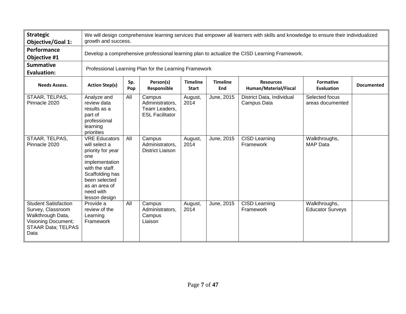| <b>Strategic</b><br><b>Objective/Goal 1:</b>                                                                                             |                                                                                                                                                                                           | We will design comprehensive learning services that empower all learners with skills and knowledge to ensure their individualized<br>growth and success. |                                                                      |                                 |                        |                                           |                                          |                   |  |  |  |  |
|------------------------------------------------------------------------------------------------------------------------------------------|-------------------------------------------------------------------------------------------------------------------------------------------------------------------------------------------|----------------------------------------------------------------------------------------------------------------------------------------------------------|----------------------------------------------------------------------|---------------------------------|------------------------|-------------------------------------------|------------------------------------------|-------------------|--|--|--|--|
| Performance<br>Objective #1                                                                                                              |                                                                                                                                                                                           | Develop a comprehensive professional learning plan to actualize the CISD Learning Framework.                                                             |                                                                      |                                 |                        |                                           |                                          |                   |  |  |  |  |
| <b>Summative</b><br><b>Evaluation:</b>                                                                                                   | Professional Learning Plan for the Learning Framework                                                                                                                                     |                                                                                                                                                          |                                                                      |                                 |                        |                                           |                                          |                   |  |  |  |  |
| <b>Needs Assess.</b>                                                                                                                     | <b>Action Step(s)</b>                                                                                                                                                                     | Sp.<br>Pop                                                                                                                                               | Person(s)<br>Responsible                                             | <b>Timeline</b><br><b>Start</b> | <b>Timeline</b><br>End | <b>Resources</b><br>Human/Material/Fiscal | <b>Formative</b><br>Evaluation           | <b>Documented</b> |  |  |  |  |
| STAAR, TELPAS,<br>Pinnacle 2020                                                                                                          | Analyze and<br>review data<br>results as a<br>part of<br>professional<br>learning<br>priorities                                                                                           | All                                                                                                                                                      | Campus<br>Administrators,<br>Team Leaders,<br><b>ESL Facilitator</b> | August,<br>2014                 | June, 2015             | District Data, Individual<br>Campus Data  | Selected focus<br>areas documented       |                   |  |  |  |  |
| STAAR, TELPAS,<br>Pinnacle 2020                                                                                                          | <b>VRE Educators</b><br>will select a<br>priority for year<br>one<br>implementation<br>with the staff.<br>Scaffolding has<br>been selected<br>as an area of<br>need with<br>lesson design | All                                                                                                                                                      | Campus<br>Administrators,<br><b>District Liaison</b>                 | August,<br>2014                 | June, 2015             | <b>CISD Learning</b><br>Framework         | Walkthroughs,<br><b>MAP Data</b>         |                   |  |  |  |  |
| <b>Student Satisfaction</b><br>Survey, Classroom<br>Walkthrough Data,<br><b>Visioning Document;</b><br><b>STAAR Data; TELPAS</b><br>Data | Provide a<br>review of the<br>Learning<br>Framework                                                                                                                                       | All                                                                                                                                                      | Campus<br>Administrators,<br>Campus<br>Liaison                       | August,<br>2014                 | June, 2015             | <b>CISD Learning</b><br>Framework         | Walkthroughs,<br><b>Educator Surveys</b> |                   |  |  |  |  |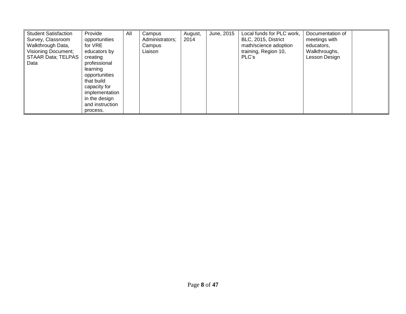| <b>Student Satisfaction</b><br>Survey, Classroom<br>Walkthrough Data,<br><b>Visioning Document;</b><br>STAAR Data; TELPAS  <br>Data | Provide<br>opportunities<br>for VRE<br>educators by<br>creating<br>professional<br>learning<br>opportunities<br>that build<br>capacity for<br>implementation<br>in the design<br>and instruction | All | Campus<br>Administrators;<br>Campus<br>.iaison | August,<br>2014 | June, 2015 | Local funds for PLC work,<br>BLC, 2015, District<br>math/science adoption<br>training, Region 10,<br>PLC's | Documentation of<br>meetings with<br>educators,<br>Walkthroughs,<br>Lesson Design |  |
|-------------------------------------------------------------------------------------------------------------------------------------|--------------------------------------------------------------------------------------------------------------------------------------------------------------------------------------------------|-----|------------------------------------------------|-----------------|------------|------------------------------------------------------------------------------------------------------------|-----------------------------------------------------------------------------------|--|
|                                                                                                                                     | process.                                                                                                                                                                                         |     |                                                |                 |            |                                                                                                            |                                                                                   |  |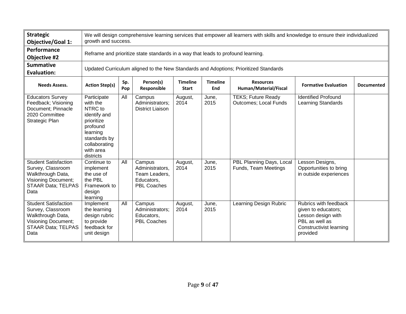| <b>Strategic</b><br><b>Objective/Goal 1:</b>                                                                                             |                                                                                                                                                     | We will design comprehensive learning services that empower all learners with skills and knowledge to ensure their individualized<br>growth and success. |                                                                                |                                 |                        |                                                           |                                                                                                                                    |                   |  |  |  |  |
|------------------------------------------------------------------------------------------------------------------------------------------|-----------------------------------------------------------------------------------------------------------------------------------------------------|----------------------------------------------------------------------------------------------------------------------------------------------------------|--------------------------------------------------------------------------------|---------------------------------|------------------------|-----------------------------------------------------------|------------------------------------------------------------------------------------------------------------------------------------|-------------------|--|--|--|--|
| Performance<br><b>Objective #2</b>                                                                                                       |                                                                                                                                                     | Reframe and prioritize state standards in a way that leads to profound learning.                                                                         |                                                                                |                                 |                        |                                                           |                                                                                                                                    |                   |  |  |  |  |
| <b>Summative</b><br><b>Evaluation:</b>                                                                                                   |                                                                                                                                                     | Updated Curriculum aligned to the New Standards and Adoptions; Prioritized Standards                                                                     |                                                                                |                                 |                        |                                                           |                                                                                                                                    |                   |  |  |  |  |
| <b>Needs Assess.</b>                                                                                                                     | <b>Action Step(s)</b>                                                                                                                               | Sp.<br>Pop                                                                                                                                               | Person(s)<br>Responsible                                                       | <b>Timeline</b><br><b>Start</b> | <b>Timeline</b><br>End | <b>Resources</b><br>Human/Material/Fiscal                 | <b>Formative Evaluation</b>                                                                                                        | <b>Documented</b> |  |  |  |  |
| <b>Educators Survey</b><br>Feedback; Visioning<br>Document; Pinnacle<br>2020 Committee<br>Strategic Plan                                 | Participate<br>with the<br>NTRC to<br>identify and<br>prioritize<br>profound<br>learning<br>standards by<br>collaborating<br>with area<br>districts | All                                                                                                                                                      | Campus<br>Administrators;<br>District Liaison                                  | August,<br>2014                 | June,<br>2015          | <b>TEKS; Future Ready</b><br><b>Outcomes; Local Funds</b> | Identified Profound<br>Learning Standards                                                                                          |                   |  |  |  |  |
| <b>Student Satisfaction</b><br>Survey, Classroom<br>Walkthrough Data,<br><b>Visioning Document;</b><br><b>STAAR Data; TELPAS</b><br>Data | Continue to<br>implement<br>the use of<br>the PBL<br>Framework to<br>design<br>learning                                                             | All                                                                                                                                                      | Campus<br>Administrators,<br>Team Leaders,<br>Educators,<br><b>PBL Coaches</b> | August,<br>2014                 | June,<br>2015          | PBL Planning Days, Local<br>Funds, Team Meetings          | Lesson Designs,<br>Opportunities to bring<br>in outside experiences                                                                |                   |  |  |  |  |
| <b>Student Satisfaction</b><br>Survey, Classroom<br>Walkthrough Data,<br><b>Visioning Document;</b><br><b>STAAR Data; TELPAS</b><br>Data | Implement<br>the learning<br>design rubric<br>to provide<br>feedback for<br>unit design                                                             | All                                                                                                                                                      | Campus<br>Administrators;<br>Educators,<br><b>PBL Coaches</b>                  | August,<br>2014                 | June,<br>2015          | Learning Design Rubric                                    | Rubrics with feedback<br>given to educators;<br>Lesson design with<br>PBL as well as<br><b>Constructivist learning</b><br>provided |                   |  |  |  |  |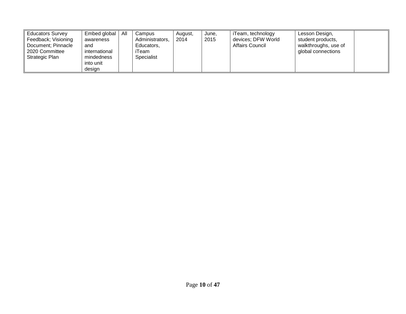| All<br>Embed global<br><b>Educators Survey</b><br>Feedback; Visioning<br>awareness<br>Document; Pinnacle<br>and<br>2020 Committee<br>international<br>Strategic Plan<br>mindedness<br>into unit<br>design | Campus<br>Administrators,<br>Educators,<br>iTeam<br>Specialist | August,<br>2014 | June,<br>2015 | iTeam, technology<br>devices; DFW World<br>Affairs Council | Lesson Design,<br>student products,<br>walkthroughs, use of<br>global connections |  |
|-----------------------------------------------------------------------------------------------------------------------------------------------------------------------------------------------------------|----------------------------------------------------------------|-----------------|---------------|------------------------------------------------------------|-----------------------------------------------------------------------------------|--|
|-----------------------------------------------------------------------------------------------------------------------------------------------------------------------------------------------------------|----------------------------------------------------------------|-----------------|---------------|------------------------------------------------------------|-----------------------------------------------------------------------------------|--|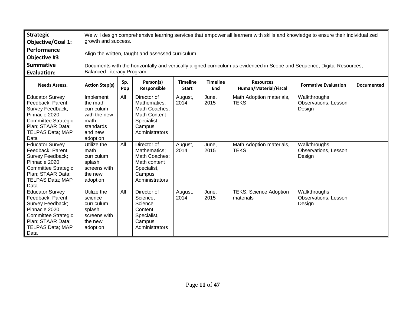| <b>Strategic</b><br><b>Objective/Goal 1:</b>                                                                                                                                                    | We will design comprehensive learning services that empower all learners with skills and knowledge to ensure their individualized<br>growth and success.     |            |                                                                                                                               |                                 |                        |                                            |                                                                         |                   |  |  |  |
|-------------------------------------------------------------------------------------------------------------------------------------------------------------------------------------------------|--------------------------------------------------------------------------------------------------------------------------------------------------------------|------------|-------------------------------------------------------------------------------------------------------------------------------|---------------------------------|------------------------|--------------------------------------------|-------------------------------------------------------------------------|-------------------|--|--|--|
| Performance<br><b>Objective #3</b>                                                                                                                                                              | Align the written, taught and assessed curriculum.                                                                                                           |            |                                                                                                                               |                                 |                        |                                            |                                                                         |                   |  |  |  |
| <b>Summative</b><br><b>Evaluation:</b>                                                                                                                                                          | Documents with the horizontally and vertically aligned curriculum as evidenced in Scope and Sequence; Digital Resources;<br><b>Balanced Literacy Program</b> |            |                                                                                                                               |                                 |                        |                                            |                                                                         |                   |  |  |  |
| <b>Needs Assess.</b>                                                                                                                                                                            | <b>Action Step(s)</b>                                                                                                                                        | Sp.<br>Pop | Person(s)<br><b>Responsible</b>                                                                                               | <b>Timeline</b><br><b>Start</b> | <b>Timeline</b><br>End | <b>Resources</b><br>Human/Material/Fiscal  | <b>Formative Evaluation</b>                                             | <b>Documented</b> |  |  |  |
| <b>Educator Survey</b><br>Feedback; Parent<br>Survey Feedback;<br>Pinnacle 2020<br><b>Committee Strategic</b><br>Plan; STAAR Data;<br><b>TELPAS Data; MAP</b><br>Data<br><b>Educator Survey</b> | Implement<br>the math<br>curriculum<br>with the new<br>math<br>standards<br>and new<br>adoption<br>Utilize the                                               | All<br>All | Director of<br>Mathematics;<br>Math Coaches;<br><b>Math Content</b><br>Specialist,<br>Campus<br>Administrators<br>Director of | August,<br>2014                 | June,<br>2015<br>June, | Math Adoption materials,<br><b>TEKS</b>    | Walkthroughs,<br><b>Observations, Lesson</b><br>Design<br>Walkthroughs, |                   |  |  |  |
| Feedback; Parent<br>Survey Feedback;<br>Pinnacle 2020<br><b>Committee Strategic</b><br>Plan; STAAR Data;<br><b>TELPAS Data; MAP</b><br>Data                                                     | math<br>curriculum<br>splash<br>screens with<br>the new<br>adoption                                                                                          |            | Mathematics;<br>Math Coaches;<br>Math content<br>Specialist,<br>Campus<br>Administrators                                      | August,<br>2014                 | 2015                   | Math Adoption materials,<br><b>TEKS</b>    | Observations, Lesson<br>Design                                          |                   |  |  |  |
| <b>Educator Survey</b><br>Feedback; Parent<br>Survey Feedback;<br>Pinnacle 2020<br><b>Committee Strategic</b><br>Plan; STAAR Data;<br><b>TELPAS Data; MAP</b><br>Data                           | Utilize the<br>science<br>curriculum<br>splash<br>screens with<br>the new<br>adoption                                                                        | All        | Director of<br>Science;<br>Science<br>Content<br>Specialist,<br>Campus<br>Administrators                                      | August,<br>2014                 | June.<br>2015          | <b>TEKS, Science Adoption</b><br>materials | Walkthroughs,<br>Observations, Lesson<br>Design                         |                   |  |  |  |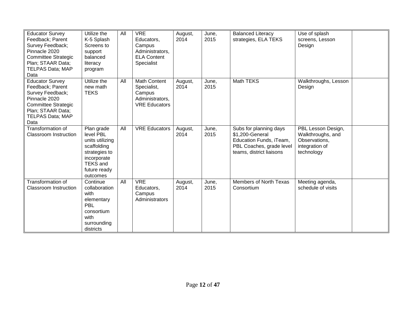| <b>Educator Survey</b><br>Feedback; Parent<br>Survey Feedback;<br>Pinnacle 2020<br><b>Committee Strategic</b><br>Plan; STAAR Data;<br><b>TELPAS Data; MAP</b><br>Data | Utilize the<br>K-5 Splash<br>Screens to<br>support<br>balanced<br>literacy<br>program                                                    | All | <b>VRE</b><br>Educators,<br>Campus<br>Administrators,<br><b>ELA Content</b><br>Specialist | August,<br>2014 | June,<br>2015 | <b>Balanced Literacy</b><br>strategies, ELA TEKS                                                                             | Use of splash<br>screens, Lesson<br>Design                                               |  |
|-----------------------------------------------------------------------------------------------------------------------------------------------------------------------|------------------------------------------------------------------------------------------------------------------------------------------|-----|-------------------------------------------------------------------------------------------|-----------------|---------------|------------------------------------------------------------------------------------------------------------------------------|------------------------------------------------------------------------------------------|--|
| <b>Educator Survey</b><br>Feedback; Parent<br>Survey Feedback;<br>Pinnacle 2020<br><b>Committee Strategic</b><br>Plan; STAAR Data;<br><b>TELPAS Data; MAP</b><br>Data | Utilize the<br>new math<br><b>TEKS</b>                                                                                                   | All | Math Content<br>Specialist,<br>Campus<br>Administrators,<br><b>VRE Educators</b>          | August,<br>2014 | June,<br>2015 | Math TEKS                                                                                                                    | Walkthroughs, Lesson<br>Design                                                           |  |
| Transformation of<br><b>Classroom Instruction</b>                                                                                                                     | Plan grade<br>level PBL<br>units utilizing<br>scaffolding<br>strategies to<br>incorporate<br><b>TEKS and</b><br>future ready<br>outcomes | All | <b>VRE Educators</b>                                                                      | August,<br>2014 | June,<br>2015 | Subs for planning days<br>\$1,200-General<br>Education Funds, iTeam,<br>PBL Coaches, grade level<br>teams, district liaisons | PBL Lesson Design,<br>Walkthroughs, and<br>Observations,<br>integration of<br>technology |  |
| Transformation of<br><b>Classroom Instruction</b>                                                                                                                     | Continue<br>collaboration<br>with<br>elementary<br>PBL<br>consortium<br>with<br>surrounding<br>districts                                 | All | <b>VRE</b><br>Educators,<br>Campus<br>Administrators                                      | August,<br>2014 | June,<br>2015 | Members of North Texas<br>Consortium                                                                                         | Meeting agenda,<br>schedule of visits                                                    |  |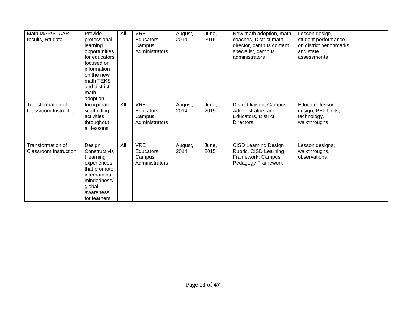| Math MAP/STAAR<br>results, RtI data               | Provide<br>professional<br>learning<br>opportunities<br>for educators<br>focused on<br>information<br>on the new<br>math TEKS<br>and district<br>math | All | <b>VRE</b><br>Educators,<br>Campus<br>Administrators | August,<br>2014 | June,<br>2015 | New math adoption, math<br>coaches, District math<br>director, campus content<br>specialist, campus<br>administrators | Lesson design,<br>student performance<br>on district benchmarks<br>and state<br>assessments |  |
|---------------------------------------------------|-------------------------------------------------------------------------------------------------------------------------------------------------------|-----|------------------------------------------------------|-----------------|---------------|-----------------------------------------------------------------------------------------------------------------------|---------------------------------------------------------------------------------------------|--|
| Transformation of<br><b>Classroom Instruction</b> | adoption<br>Incorporate<br>scaffolding<br>activities<br>throughout<br>all lessons                                                                     | All | <b>VRE</b><br>Educators,<br>Campus<br>Administrators | August,<br>2014 | June,<br>2015 | District liaison, Campus<br>Administrators and<br>Educators, District<br><b>Directors</b>                             | Educator lesson<br>design, PBL Units,<br>technology,<br>walkthroughs                        |  |
| Transformation of<br><b>Classroom Instruction</b> | Design<br>Constructivis<br>t learning<br>experiences<br>that promote<br>international<br>mindedness/<br>global<br>awareness<br>for learners           | All | <b>VRE</b><br>Educators,<br>Campus<br>Administrators | August,<br>2014 | June,<br>2015 | <b>CISD Learning Design</b><br>Rubric, CISD Learning<br>Framework, Campus<br>Pedagogy Framework                       | Lesson designs,<br>walkthroughs,<br>observations                                            |  |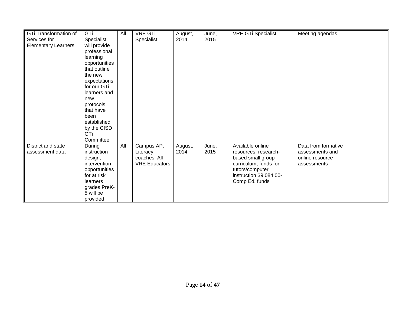| GTi Transformation of      | GTi           | All | <b>VRE GTi</b>       | August, | June, | <b>VRE GTi Specialist</b> | Meeting agendas     |  |
|----------------------------|---------------|-----|----------------------|---------|-------|---------------------------|---------------------|--|
|                            |               |     |                      |         | 2015  |                           |                     |  |
| Services for               | Specialist    |     | Specialist           | 2014    |       |                           |                     |  |
| <b>Elementary Learners</b> | will provide  |     |                      |         |       |                           |                     |  |
|                            | professional  |     |                      |         |       |                           |                     |  |
|                            | learning      |     |                      |         |       |                           |                     |  |
|                            | opportunities |     |                      |         |       |                           |                     |  |
|                            | that outline  |     |                      |         |       |                           |                     |  |
|                            | the new       |     |                      |         |       |                           |                     |  |
|                            | expectations  |     |                      |         |       |                           |                     |  |
|                            | for our GTi   |     |                      |         |       |                           |                     |  |
|                            | learners and  |     |                      |         |       |                           |                     |  |
|                            | new           |     |                      |         |       |                           |                     |  |
|                            | protocols     |     |                      |         |       |                           |                     |  |
|                            | that have     |     |                      |         |       |                           |                     |  |
|                            | been          |     |                      |         |       |                           |                     |  |
|                            | established   |     |                      |         |       |                           |                     |  |
|                            | by the CISD   |     |                      |         |       |                           |                     |  |
|                            | GTi           |     |                      |         |       |                           |                     |  |
|                            | Committee     |     |                      |         |       |                           |                     |  |
| District and state         | During        | All | Campus AP,           | August, | June, | Available online          | Data from formative |  |
| assessment data            | instruction   |     | Literacy             | 2014    | 2015  | resources, research-      | assessments and     |  |
|                            | design,       |     | coaches, All         |         |       | based small group         | online resource     |  |
|                            | intervention  |     | <b>VRE Educators</b> |         |       | curriculum, funds for     | assessments         |  |
|                            | opportunities |     |                      |         |       | tutors/computer           |                     |  |
|                            | for at risk   |     |                      |         |       | instruction \$9,084.00-   |                     |  |
|                            | learners      |     |                      |         |       | Comp Ed. funds            |                     |  |
|                            | grades PreK-  |     |                      |         |       |                           |                     |  |
|                            |               |     |                      |         |       |                           |                     |  |
|                            | 5 will be     |     |                      |         |       |                           |                     |  |
|                            | provided      |     |                      |         |       |                           |                     |  |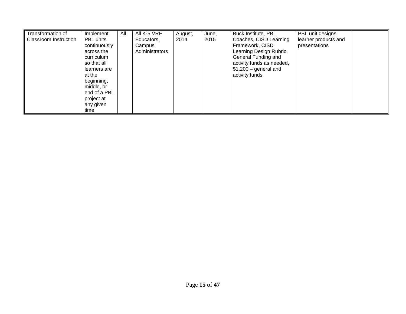| Transformation of<br><b>Classroom Instruction</b> | Implement<br><b>PBL</b> units<br>continuously<br>across the<br>curriculum<br>so that all<br>learners are<br>at the<br>beginning,<br>middle, or<br>end of a PBL<br>project at<br>any given | All | All K-5 VRE<br>Educators,<br>Campus<br>Administrators | August,<br>2014 | June,<br>2015 | Buck Institute, PBL<br>Coaches, CISD Learning<br>Framework, CISD<br>Learning Design Rubric,<br>General Funding and<br>activity funds as needed,<br>$$1,200$ – general and<br>activity funds | PBL unit designs,<br>learner products and<br>presentations |  |
|---------------------------------------------------|-------------------------------------------------------------------------------------------------------------------------------------------------------------------------------------------|-----|-------------------------------------------------------|-----------------|---------------|---------------------------------------------------------------------------------------------------------------------------------------------------------------------------------------------|------------------------------------------------------------|--|
|                                                   | time                                                                                                                                                                                      |     |                                                       |                 |               |                                                                                                                                                                                             |                                                            |  |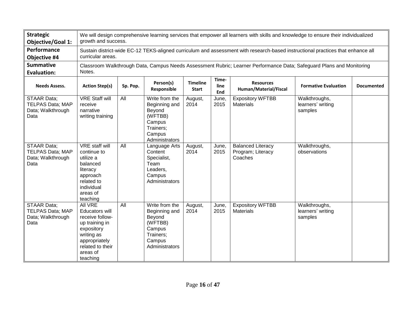| <b>Strategic</b><br><b>Objective/Goal 1:</b>                               |                                                                                                                                                                       | We will design comprehensive learning services that empower all learners with skills and knowledge to ensure their individualized<br>growth and success. |                                                                                                         |                                 |                      |                                                          |                                               |                   |  |  |  |  |
|----------------------------------------------------------------------------|-----------------------------------------------------------------------------------------------------------------------------------------------------------------------|----------------------------------------------------------------------------------------------------------------------------------------------------------|---------------------------------------------------------------------------------------------------------|---------------------------------|----------------------|----------------------------------------------------------|-----------------------------------------------|-------------------|--|--|--|--|
| Performance<br>Objective #4                                                | curricular areas.                                                                                                                                                     | Sustain district-wide EC-12 TEKS-aligned curriculum and assessment with research-based instructional practices that enhance all                          |                                                                                                         |                                 |                      |                                                          |                                               |                   |  |  |  |  |
| <b>Summative</b><br><b>Evaluation:</b>                                     | Classroom Walkthrough Data, Campus Needs Assessment Rubric; Learner Performance Data; Safeguard Plans and Monitoring<br>Notes.                                        |                                                                                                                                                          |                                                                                                         |                                 |                      |                                                          |                                               |                   |  |  |  |  |
| <b>Needs Assess.</b>                                                       | <b>Action Step(s)</b>                                                                                                                                                 | Sp. Pop.                                                                                                                                                 | Person(s)<br>Responsible                                                                                | <b>Timeline</b><br><b>Start</b> | Time-<br>line<br>End | <b>Resources</b><br>Human/Material/Fiscal                | <b>Formative Evaluation</b>                   | <b>Documented</b> |  |  |  |  |
| STAAR Data;<br><b>TELPAS Data; MAP</b><br>Data; Walkthrough<br>Data        | <b>VRE Staff will</b><br>receive<br>narrative<br>writing training                                                                                                     | All                                                                                                                                                      | Write from the<br>Beginning and<br>Beyond<br>(WFTBB)<br>Campus<br>Trainers;<br>Campus<br>Administrators | August,<br>2014                 | June,<br>2015        | <b>Expository WFTBB</b><br><b>Materials</b>              | Walkthroughs,<br>learners' writing<br>samples |                   |  |  |  |  |
| <b>STAAR Data;</b><br><b>TELPAS Data; MAP</b><br>Data; Walkthrough<br>Data | <b>VRE</b> staff will<br>continue to<br>utilize a<br>balanced<br>literacy<br>approach<br>related to<br>individual<br>areas of<br>teaching                             | All                                                                                                                                                      | Language Arts<br>Content<br>Specialist,<br>Team<br>Leaders,<br>Campus<br>Administrators                 | August,<br>2014                 | June,<br>2015        | <b>Balanced Literacy</b><br>Program; Literacy<br>Coaches | Walkthroughs,<br>observations                 |                   |  |  |  |  |
| <b>STAAR Data:</b><br><b>TELPAS Data; MAP</b><br>Data; Walkthrough<br>Data | <b>AII VRE</b><br><b>Educators will</b><br>receive follow-<br>up training in<br>expository<br>writing as<br>appropriately<br>related to their<br>areas of<br>teaching | $\overline{All}$                                                                                                                                         | Write from the<br>Beginning and<br>Beyond<br>(WFTBB)<br>Campus<br>Trainers;<br>Campus<br>Administrators | August,<br>2014                 | June,<br>2015        | <b>Expository WFTBB</b><br><b>Materials</b>              | Walkthroughs,<br>learners' writing<br>samples |                   |  |  |  |  |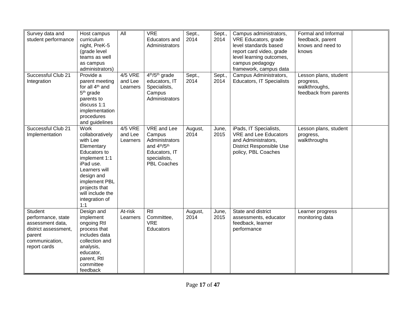| Survey data and<br>student performance                                                                                | Host campus<br>curriculum<br>night, PreK-5<br>(grade level<br>teams as well<br>as campus<br>administrators)                                                                                                                 | All                                   | <b>VRE</b><br><b>Educators</b> and<br>Administrators                                                                                   | Sept.,<br>2014  | Sept.,<br>2014 | Campus administrators,<br>VRE Educators, grade<br>level standards based<br>report card video, grade<br>level learning outcomes,<br>campus pedagogy<br>framework, campus data | Formal and Informal<br>feedback, parent<br>knows and need to<br>knows        |  |
|-----------------------------------------------------------------------------------------------------------------------|-----------------------------------------------------------------------------------------------------------------------------------------------------------------------------------------------------------------------------|---------------------------------------|----------------------------------------------------------------------------------------------------------------------------------------|-----------------|----------------|------------------------------------------------------------------------------------------------------------------------------------------------------------------------------|------------------------------------------------------------------------------|--|
| Successful Club 21<br>Integration                                                                                     | Provide a<br>parent meeting<br>for all 4 <sup>th</sup> and<br>5 <sup>th</sup> grade<br>parents to<br>discuss 1:1<br>implementation<br>procedures<br>and guidelines                                                          | 4/5 VRE<br>and Lee<br>Learners        | 4 <sup>th</sup> /5 <sup>th</sup> grade<br>educators, IT<br>Specialists,<br>Campus<br>Administrators                                    | Sept.,<br>2014  | Sept.,<br>2014 | Campus Administrators,<br><b>Educators, IT Specialists</b>                                                                                                                   | Lesson plans, student<br>progress,<br>walkthroughs,<br>feedback from parents |  |
| Successful Club 21<br>Implementation                                                                                  | <b>Work</b><br>collaboratively<br>with Lee<br>Elementary<br><b>Educators to</b><br>implement 1:1<br>iPad use.<br>Learners will<br>design and<br>implement PBL<br>projects that<br>will include the<br>integration of<br>1:1 | <b>4/5 VRE</b><br>and Lee<br>Learners | VRE and Lee<br>Campus<br>Administrators<br>and 4 <sup>th</sup> /5 <sup>th</sup><br>Educators, IT<br>specialists,<br><b>PBL Coaches</b> | August,<br>2014 | June,<br>2015  | iPads, IT Specialists,<br>VRE and Lee Educators<br>and Administrators,<br><b>District Responsible Use</b><br>policy, PBL Coaches                                             | Lesson plans, student<br>progress,<br>walkthroughs                           |  |
| Student<br>performance, state<br>assessment data,<br>district assessment,<br>parent<br>communication,<br>report cards | Design and<br>implement<br>ongoing Rtl<br>process that<br>includes data<br>collection and<br>analysis,<br>educator,<br>parent, Rtl<br>committee<br>feedback                                                                 | At-risk<br>Learners                   | Rtl<br>Committee,<br><b>VRE</b><br>Educators                                                                                           | August,<br>2014 | June,<br>2015  | State and district<br>assessments, educator<br>feedback, learner<br>performance                                                                                              | Learner progress<br>monitoring data                                          |  |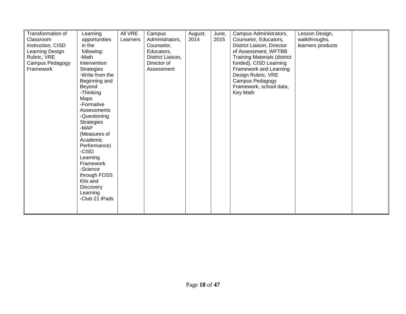| Transformation of | Learning          | All VRE  | Campus            | August, | June, | Campus Administrators,              | Lesson Design,    |  |
|-------------------|-------------------|----------|-------------------|---------|-------|-------------------------------------|-------------------|--|
| Classroom         | opportunities     | Learners | Administrators,   | 2014    | 2015  | Counselor, Educators,               | walkthroughs,     |  |
|                   | in the            |          |                   |         |       |                                     |                   |  |
| Instruction, CISD |                   |          | Counselor,        |         |       | District Liaison, Director          | learners products |  |
| Learning Design   | following:        |          | Educators,        |         |       | of Assessment, WFTBB                |                   |  |
| Rubric, VRE       | -Math             |          | District Liaison, |         |       | <b>Training Materials (district</b> |                   |  |
| Campus Pedagogy   | Intervention      |          | Director of       |         |       | funded), CISD Learning              |                   |  |
| Framework         | <b>Strategies</b> |          | Assessment        |         |       | Framework and Learning              |                   |  |
|                   | -Write from the   |          |                   |         |       | Design Rubric, VRE                  |                   |  |
|                   | Beginning and     |          |                   |         |       | Campus Pedagogy                     |                   |  |
|                   | Beyond            |          |                   |         |       | Framework, school data,             |                   |  |
|                   | -Thinking         |          |                   |         |       | Key Math                            |                   |  |
|                   | Maps              |          |                   |         |       |                                     |                   |  |
|                   | -Formative        |          |                   |         |       |                                     |                   |  |
|                   | Assessments       |          |                   |         |       |                                     |                   |  |
|                   | -Questioning      |          |                   |         |       |                                     |                   |  |
|                   | <b>Strategies</b> |          |                   |         |       |                                     |                   |  |
|                   | $-MAP$            |          |                   |         |       |                                     |                   |  |
|                   | (Measures of      |          |                   |         |       |                                     |                   |  |
|                   | Academic          |          |                   |         |       |                                     |                   |  |
|                   |                   |          |                   |         |       |                                     |                   |  |
|                   | Performance)      |          |                   |         |       |                                     |                   |  |
|                   | -CISD             |          |                   |         |       |                                     |                   |  |
|                   | Learning          |          |                   |         |       |                                     |                   |  |
|                   | Framework         |          |                   |         |       |                                     |                   |  |
|                   | -Science          |          |                   |         |       |                                     |                   |  |
|                   | through FOSS      |          |                   |         |       |                                     |                   |  |
|                   | Kits and          |          |                   |         |       |                                     |                   |  |
|                   | <b>Discovery</b>  |          |                   |         |       |                                     |                   |  |
|                   | Learning          |          |                   |         |       |                                     |                   |  |
|                   | -Club 21 iPads    |          |                   |         |       |                                     |                   |  |
|                   |                   |          |                   |         |       |                                     |                   |  |
|                   |                   |          |                   |         |       |                                     |                   |  |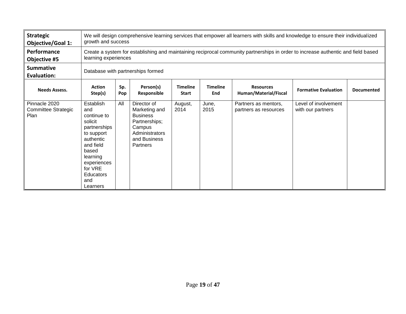| <b>Strategic</b><br><b>Objective/Goal 1:</b> |                                                                                                                                                                                          | We will design comprehensive learning services that empower all learners with skills and knowledge to ensure their individualized<br>growth and success                                              |                                                                                                                          |                 |               |                                               |                                           |  |  |  |
|----------------------------------------------|------------------------------------------------------------------------------------------------------------------------------------------------------------------------------------------|------------------------------------------------------------------------------------------------------------------------------------------------------------------------------------------------------|--------------------------------------------------------------------------------------------------------------------------|-----------------|---------------|-----------------------------------------------|-------------------------------------------|--|--|--|
| Performance<br>Objective #5                  |                                                                                                                                                                                          | Create a system for establishing and maintaining reciprocal community partnerships in order to increase authentic and field based<br>learning experiences                                            |                                                                                                                          |                 |               |                                               |                                           |  |  |  |
| <b>Summative</b><br><b>Evaluation:</b>       |                                                                                                                                                                                          | Database with partnerships formed                                                                                                                                                                    |                                                                                                                          |                 |               |                                               |                                           |  |  |  |
| <b>Needs Assess.</b>                         | <b>Action</b><br>Step(s)                                                                                                                                                                 | Sp.<br>Person(s)<br><b>Timeline</b><br><b>Timeline</b><br><b>Resources</b><br><b>Formative Evaluation</b><br><b>Documented</b><br>Human/Material/Fiscal<br>Responsible<br>End<br>Pop<br><b>Start</b> |                                                                                                                          |                 |               |                                               |                                           |  |  |  |
| Pinnacle 2020<br>Committee Strategic<br>Plan | Establish<br>and<br>continue to<br>solicit<br>partnerships<br>to support<br>authentic<br>and field<br>based<br>learning<br>experiences<br>for VRE<br><b>Educators</b><br>and<br>Learners | All                                                                                                                                                                                                  | Director of<br>Marketing and<br><b>Business</b><br>Partnerships;<br>Campus<br>Administrators<br>and Business<br>Partners | August,<br>2014 | June,<br>2015 | Partners as mentors,<br>partners as resources | Level of involvement<br>with our partners |  |  |  |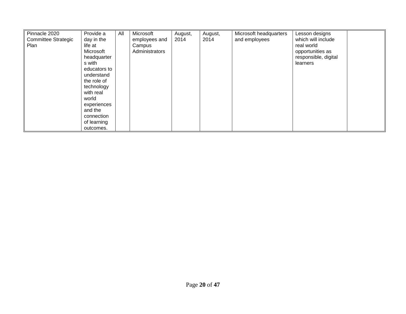| Pinnacle 2020<br><b>Committee Strategic</b><br>Plan | Provide a<br>day in the<br>life at<br>Microsoft<br>headquarter<br>s with<br>educators to<br>understand<br>the role of<br>technology<br>with real<br>world<br>experiences<br>and the<br>connection<br>of learning | All | Microsoft<br>employees and<br>Campus<br>Administrators | August,<br>2014 | August,<br>2014 | Microsoft headquarters<br>and employees | Lesson designs<br>which will include<br>real world<br>opportunities as<br>responsible, digital<br>learners |  |
|-----------------------------------------------------|------------------------------------------------------------------------------------------------------------------------------------------------------------------------------------------------------------------|-----|--------------------------------------------------------|-----------------|-----------------|-----------------------------------------|------------------------------------------------------------------------------------------------------------|--|
|                                                     | outcomes.                                                                                                                                                                                                        |     |                                                        |                 |                 |                                         |                                                                                                            |  |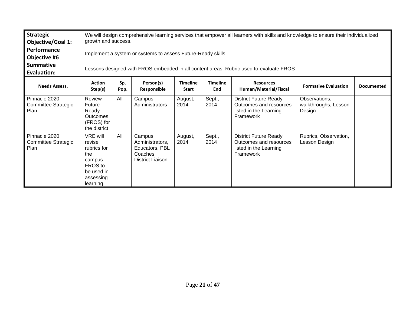| <b>Strategic</b><br><b>Objective/Goal 1:</b>        |                                                                                                       | We will design comprehensive learning services that empower all learners with skills and knowledge to ensure their individualized<br>growth and success.                                              |                                                                                    |                 |                |                                                                                               |                                                 |  |  |  |  |
|-----------------------------------------------------|-------------------------------------------------------------------------------------------------------|-------------------------------------------------------------------------------------------------------------------------------------------------------------------------------------------------------|------------------------------------------------------------------------------------|-----------------|----------------|-----------------------------------------------------------------------------------------------|-------------------------------------------------|--|--|--|--|
| Performance<br>Objective #6                         |                                                                                                       | Implement a system or systems to assess Future-Ready skills.                                                                                                                                          |                                                                                    |                 |                |                                                                                               |                                                 |  |  |  |  |
| <b>Summative</b><br><b>Evaluation:</b>              |                                                                                                       | Lessons designed with FROS embedded in all content areas; Rubric used to evaluate FROS                                                                                                                |                                                                                    |                 |                |                                                                                               |                                                 |  |  |  |  |
| <b>Needs Assess.</b>                                | <b>Action</b><br>Step(s)                                                                              | Person(s)<br><b>Timeline</b><br><b>Timeline</b><br>Sp.<br><b>Resources</b><br><b>Formative Evaluation</b><br><b>Documented</b><br>Human/Material/Fiscal<br>Responsible<br>End<br>Pop.<br><b>Start</b> |                                                                                    |                 |                |                                                                                               |                                                 |  |  |  |  |
| Pinnacle 2020<br><b>Committee Strategic</b><br>Plan | Review<br>Future<br>Ready<br><b>Outcomes</b><br>(FROS) for<br>the district                            | All                                                                                                                                                                                                   | Campus<br>Administrators                                                           | August,<br>2014 | Sept.,<br>2014 | <b>District Future Ready</b><br>Outcomes and resources<br>listed in the Learning<br>Framework | Observations,<br>walkthroughs, Lesson<br>Design |  |  |  |  |
| Pinnacle 2020<br><b>Committee Strategic</b><br>Plan | VRE will<br>revise<br>rubrics for<br>the<br>campus<br>FROS to<br>be used in<br>assessing<br>learning. | All                                                                                                                                                                                                   | Campus<br>Administrators,<br>Educators, PBL<br>Coaches,<br><b>District Liaison</b> | August,<br>2014 | Sept.,<br>2014 | <b>District Future Ready</b><br>Outcomes and resources<br>listed in the Learning<br>Framework | Rubrics, Observation,<br>Lesson Design          |  |  |  |  |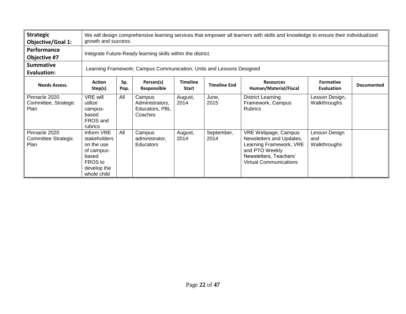| <b>Strategic</b><br><b>Objective/Goal 1:</b>         |                                                                                                          | We will design comprehensive learning services that empower all learners with skills and knowledge to ensure their individualized<br>growth and success.                                              |                                                        |                 |                    |                                                                                                                                                         |                                      |  |  |  |  |
|------------------------------------------------------|----------------------------------------------------------------------------------------------------------|-------------------------------------------------------------------------------------------------------------------------------------------------------------------------------------------------------|--------------------------------------------------------|-----------------|--------------------|---------------------------------------------------------------------------------------------------------------------------------------------------------|--------------------------------------|--|--|--|--|
| Performance<br>Objective #7                          |                                                                                                          | Integrate Future-Ready learning skills within the district.                                                                                                                                           |                                                        |                 |                    |                                                                                                                                                         |                                      |  |  |  |  |
| <b>Summative</b><br><b>Evaluation:</b>               |                                                                                                          | Learning Framework; Campus Communication; Units and Lessons Designed                                                                                                                                  |                                                        |                 |                    |                                                                                                                                                         |                                      |  |  |  |  |
| <b>Needs Assess.</b>                                 | <b>Action</b><br>Step(s)                                                                                 | Person(s)<br>Sp.<br><b>Timeline</b><br><b>Formative</b><br><b>Resources</b><br><b>Timeline End</b><br><b>Documented</b><br>Human/Material/Fiscal<br>Responsible<br>Evaluation<br><b>Start</b><br>Pop. |                                                        |                 |                    |                                                                                                                                                         |                                      |  |  |  |  |
| Pinnacle 2020<br>Committee, Strategic<br><b>Plan</b> | VRE will<br>utilize<br>campus-<br>based<br>FROS and<br>rubrics                                           | All                                                                                                                                                                                                   | Campus<br>Administrators,<br>Educators, PBL<br>Coaches | August,<br>2014 | June,<br>2015      | <b>District Learning</b><br>Framework, Campus<br><b>Rubrics</b>                                                                                         | Lesson Design,<br>Walkthroughs       |  |  |  |  |
| Pinnacle 2020<br>Committee Strategic<br>Plan         | Inform VRE<br>stakeholders<br>on the use<br>of campus-<br>based<br>FROS to<br>develop the<br>whole child | All                                                                                                                                                                                                   | Campus<br>administrator,<br>Educators                  | August,<br>2014 | September,<br>2014 | VRE Webpage, Campus<br>Newsletters and Updates,<br>Learning Framework, VRE<br>and PTO Weekly<br>Newsletters, Teachers'<br><b>Virtual Communications</b> | Lesson Design<br>and<br>Walkthroughs |  |  |  |  |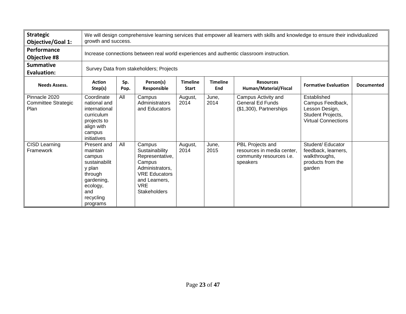| <b>Strategic</b><br><b>Objective/Goal 1:</b> |                                                                                                                                   | We will design comprehensive learning services that empower all learners with skills and knowledge to ensure their individualized<br>growth and success.                                              |                                                                                                                                                        |                 |               |                                                                                        |                                                                                                      |  |  |  |  |
|----------------------------------------------|-----------------------------------------------------------------------------------------------------------------------------------|-------------------------------------------------------------------------------------------------------------------------------------------------------------------------------------------------------|--------------------------------------------------------------------------------------------------------------------------------------------------------|-----------------|---------------|----------------------------------------------------------------------------------------|------------------------------------------------------------------------------------------------------|--|--|--|--|
| Performance<br>Objective #8                  |                                                                                                                                   | Increase connections between real world experiences and authentic classroom instruction.                                                                                                              |                                                                                                                                                        |                 |               |                                                                                        |                                                                                                      |  |  |  |  |
| <b>Summative</b><br><b>Evaluation:</b>       |                                                                                                                                   | Survey Data from stakeholders; Projects                                                                                                                                                               |                                                                                                                                                        |                 |               |                                                                                        |                                                                                                      |  |  |  |  |
| <b>Needs Assess.</b>                         | <b>Action</b><br>Step(s)                                                                                                          | Person(s)<br><b>Timeline</b><br><b>Timeline</b><br>Sp.<br><b>Resources</b><br><b>Formative Evaluation</b><br><b>Documented</b><br>Human/Material/Fiscal<br>Responsible<br>End<br>Pop.<br><b>Start</b> |                                                                                                                                                        |                 |               |                                                                                        |                                                                                                      |  |  |  |  |
| Pinnacle 2020<br>Committee Strategic<br>Plan | Coordinate<br>national and<br>international<br>curriculum<br>projects to<br>align with<br>campus<br>initiatives                   | All                                                                                                                                                                                                   | Campus<br>Administrators<br>and Educators                                                                                                              | August,<br>2014 | June,<br>2014 | Campus Activity and<br><b>General Ed Funds</b><br>(\$1,300), Partnerships              | Established<br>Campus Feedback,<br>Lesson Design,<br>Student Projects,<br><b>Virtual Connections</b> |  |  |  |  |
| CISD Learning<br>Framework                   | Present and<br>maintain<br>campus<br>sustainabilit<br>y plan<br>through<br>gardening,<br>ecology,<br>and<br>recycling<br>programs | All                                                                                                                                                                                                   | Campus<br>Sustainability<br>Representative,<br>Campus<br>Administrators,<br><b>VRE Educators</b><br>and Learners,<br><b>VRE</b><br><b>Stakeholders</b> | August,<br>2014 | June,<br>2015 | PBL Projects and<br>resources in media center,<br>community resources i.e.<br>speakers | Student/ Educator<br>feedback, learners,<br>walkthroughs,<br>products from the<br>garden             |  |  |  |  |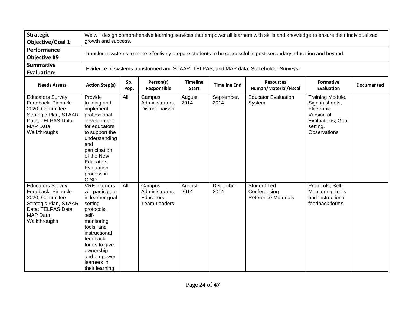| <b>Strategic</b><br><b>Objective/Goal 1:</b>                                                                                                 |                                                                                                                                                                                                                                     | We will design comprehensive learning services that empower all learners with skills and knowledge to ensure their individualized<br>growth and success.                                                     |                                                                |                 |                    |                                                                                                                 |                                                                                                                         |  |  |  |  |
|----------------------------------------------------------------------------------------------------------------------------------------------|-------------------------------------------------------------------------------------------------------------------------------------------------------------------------------------------------------------------------------------|--------------------------------------------------------------------------------------------------------------------------------------------------------------------------------------------------------------|----------------------------------------------------------------|-----------------|--------------------|-----------------------------------------------------------------------------------------------------------------|-------------------------------------------------------------------------------------------------------------------------|--|--|--|--|
| Performance<br>Objective #9                                                                                                                  |                                                                                                                                                                                                                                     |                                                                                                                                                                                                              |                                                                |                 |                    | Transform systems to more effectively prepare students to be successful in post-secondary education and beyond. |                                                                                                                         |  |  |  |  |
| <b>Summative</b><br><b>Evaluation:</b>                                                                                                       | Evidence of systems transformed and STAAR, TELPAS, and MAP data; Stakeholder Surveys;                                                                                                                                               |                                                                                                                                                                                                              |                                                                |                 |                    |                                                                                                                 |                                                                                                                         |  |  |  |  |
| <b>Needs Assess.</b>                                                                                                                         | <b>Action Step(s)</b>                                                                                                                                                                                                               | <b>Timeline</b><br>Person(s)<br><b>Resources</b><br><b>Formative</b><br>Sp.<br><b>Timeline End</b><br><b>Documented</b><br>Responsible<br>Human/Material/Fiscal<br><b>Start</b><br><b>Evaluation</b><br>Pop. |                                                                |                 |                    |                                                                                                                 |                                                                                                                         |  |  |  |  |
| <b>Educators Survey</b><br>Feedback, Pinnacle<br>2020, Committee<br>Strategic Plan, STAAR<br>Data; TELPAS Data;<br>MAP Data,<br>Walkthroughs | Provide<br>training and<br>implement<br>professional<br>development<br>for educators<br>to support the<br>understanding<br>and<br>participation<br>of the New<br><b>Educators</b><br>Evaluation<br>process in<br><b>CISD</b>        | All                                                                                                                                                                                                          | Campus<br>Administrators,<br><b>District Liaison</b>           | August,<br>2014 | September,<br>2014 | <b>Educator Evaluation</b><br>System                                                                            | Training Module,<br>Sign in sheets,<br>Electronic<br>Version of<br>Evaluations, Goal<br>setting,<br><b>Observations</b> |  |  |  |  |
| <b>Educators Survey</b><br>Feedback, Pinnacle<br>2020, Committee<br>Strategic Plan, STAAR<br>Data; TELPAS Data;<br>MAP Data,<br>Walkthroughs | <b>VRE</b> learners<br>will participate<br>in learner goal<br>setting<br>protocols,<br>self-<br>monitoring<br>tools, and<br>instructional<br>feedback<br>forms to give<br>ownership<br>and empower<br>learners in<br>their learning | All                                                                                                                                                                                                          | Campus<br>Administrators,<br>Educators,<br><b>Team Leaders</b> | August,<br>2014 | December,<br>2014  | <b>Student Led</b><br>Conferencing<br><b>Reference Materials</b>                                                | Protocols, Self-<br><b>Monitoring Tools</b><br>and instructional<br>feedback forms                                      |  |  |  |  |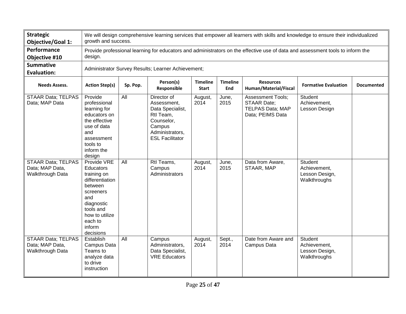| <b>Strategic</b><br><b>Objective/Goal 1:</b>                     |                                                                                                                                                                          | We will design comprehensive learning services that empower all learners with skills and knowledge to ensure their individualized<br>growth and success.                                           |                                                                                                                                  |                 |                |                                                                                                                                |                                                                  |  |  |  |  |
|------------------------------------------------------------------|--------------------------------------------------------------------------------------------------------------------------------------------------------------------------|----------------------------------------------------------------------------------------------------------------------------------------------------------------------------------------------------|----------------------------------------------------------------------------------------------------------------------------------|-----------------|----------------|--------------------------------------------------------------------------------------------------------------------------------|------------------------------------------------------------------|--|--|--|--|
| Performance<br>Objective #10                                     | design.                                                                                                                                                                  |                                                                                                                                                                                                    |                                                                                                                                  |                 |                | Provide professional learning for educators and administrators on the effective use of data and assessment tools to inform the |                                                                  |  |  |  |  |
| <b>Summative</b><br><b>Evaluation:</b>                           | Administrator Survey Results; Learner Achievement;                                                                                                                       |                                                                                                                                                                                                    |                                                                                                                                  |                 |                |                                                                                                                                |                                                                  |  |  |  |  |
| <b>Needs Assess.</b>                                             | <b>Action Step(s)</b>                                                                                                                                                    | Person(s)<br><b>Timeline</b><br><b>Timeline</b><br><b>Resources</b><br>Sp. Pop.<br><b>Formative Evaluation</b><br><b>Documented</b><br>Responsible<br>End<br>Human/Material/Fiscal<br><b>Start</b> |                                                                                                                                  |                 |                |                                                                                                                                |                                                                  |  |  |  |  |
| <b>STAAR Data; TELPAS</b><br>Data; MAP Data                      | Provide<br>professional<br>learning for<br>educators on<br>the effective<br>use of data<br>and<br>assessment<br>tools to<br>inform the<br>design                         | $\overline{All}$                                                                                                                                                                                   | Director of<br>Assessment,<br>Data Specialist,<br>Rtl Team,<br>Counselor,<br>Campus<br>Administrators,<br><b>ESL Facilitator</b> | August,<br>2014 | June,<br>2015  | <b>Assessment Tools;</b><br><b>STAAR Date:</b><br><b>TELPAS Data; MAP</b><br>Data; PEIMS Data                                  | Student<br>Achievement,<br>Lesson Design                         |  |  |  |  |
| <b>STAAR Data; TELPAS</b><br>Data; MAP Data,<br>Walkthrough Data | Provide VRE<br>Educators<br>training on<br>differentiation<br>between<br>screeners<br>and<br>diagnostic<br>tools and<br>how to utilize<br>each to<br>inform<br>decisions | All                                                                                                                                                                                                | Rtl Teams,<br>Campus<br>Administrators                                                                                           | August,<br>2014 | June,<br>2015  | Data from Aware,<br>STAAR, MAP                                                                                                 | Student<br>Achievement,<br>Lesson Design,<br>Walkthroughs        |  |  |  |  |
| <b>STAAR Data; TELPAS</b><br>Data; MAP Data,<br>Walkthrough Data | Establish<br>Campus Data<br>Teams to<br>analyze data<br>to drive<br>instruction                                                                                          | All                                                                                                                                                                                                | Campus<br>Administrators,<br>Data Specialist,<br><b>VRE Educators</b>                                                            | August,<br>2014 | Sept.,<br>2014 | Date from Aware and<br>Campus Data                                                                                             | <b>Student</b><br>Achievement,<br>Lesson Design,<br>Walkthroughs |  |  |  |  |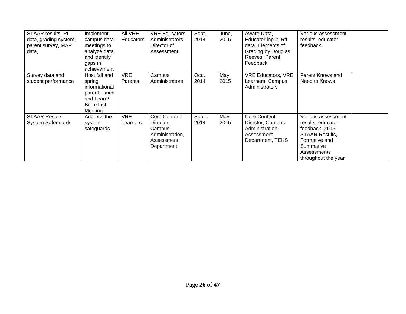| <b>STAAR results, Rtl</b><br>data, grading system,<br>parent survey, MAP<br>data, | Implement<br>campus data<br>meetings to<br>analyze data<br>and identify<br>gaps in<br>achievement     | All VRE<br><b>Educators</b> | <b>VRE Educators,</b><br>Administrators.<br>Director of<br>Assessment              | Sept.,<br>2014 | June,<br>2015 | Aware Data,<br>Educator input, Rtl<br>data, Elements of<br>Grading by Douglas<br>Reeves, Parent<br>Feedback | Various assessment<br>results, educator<br>feedback                                                                                                    |  |
|-----------------------------------------------------------------------------------|-------------------------------------------------------------------------------------------------------|-----------------------------|------------------------------------------------------------------------------------|----------------|---------------|-------------------------------------------------------------------------------------------------------------|--------------------------------------------------------------------------------------------------------------------------------------------------------|--|
| Survey data and<br>student performance                                            | Host fall and<br>spring<br>informational<br>parent Lunch<br>and Learn/<br><b>Breakfast</b><br>Meeting | <b>VRE</b><br>Parents       | Campus<br>Administrators                                                           | Oct.,<br>2014  | May,<br>2015  | <b>VRE Educators, VRE</b><br>Learners, Campus<br>Administrators                                             | Parent Knows and<br>Need to Knows                                                                                                                      |  |
| <b>STAAR Results</b><br><b>System Safeguards</b>                                  | Address the<br>system<br>safeguards                                                                   | <b>VRE</b><br>Learners      | Core Content<br>Director,<br>Campus<br>Administration,<br>Assessment<br>Department | Sept.,<br>2014 | May,<br>2015  | <b>Core Content</b><br>Director, Campus<br>Administration,<br>Assessment<br>Department, TEKS                | Various assessment<br>results, educator<br>feedback, 2015<br><b>STAAR Results,</b><br>Formative and<br>Summative<br>Assessments<br>throughout the year |  |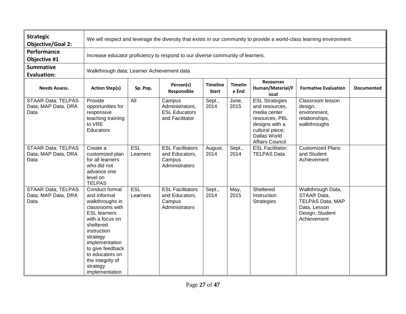| <b>Strategic</b><br><b>Objective/Goal 2:</b>             | We will respect and leverage the diversity that exists in our community to provide a world-class learning environment.                                                                                                                                            |                        |                                                                                |                                 |                         |                                                                                                                                                          |                                                                                                               |                   |  |  |
|----------------------------------------------------------|-------------------------------------------------------------------------------------------------------------------------------------------------------------------------------------------------------------------------------------------------------------------|------------------------|--------------------------------------------------------------------------------|---------------------------------|-------------------------|----------------------------------------------------------------------------------------------------------------------------------------------------------|---------------------------------------------------------------------------------------------------------------|-------------------|--|--|
| Performance<br>Objective #1                              |                                                                                                                                                                                                                                                                   |                        | Increase educator proficiency to respond to our diverse community of learners. |                                 |                         |                                                                                                                                                          |                                                                                                               |                   |  |  |
| <b>Summative</b><br><b>Evaluation:</b>                   | Walkthrough data; Learner Achievement data                                                                                                                                                                                                                        |                        |                                                                                |                                 |                         |                                                                                                                                                          |                                                                                                               |                   |  |  |
| <b>Needs Assess.</b>                                     | <b>Action Step(s)</b>                                                                                                                                                                                                                                             | Sp. Pop.               | Person(s)<br>Responsible                                                       | <b>Timeline</b><br><b>Start</b> | <b>Timelin</b><br>e End | <b>Resources</b><br>Human/Material/F<br>iscal                                                                                                            | <b>Formative Evaluation</b>                                                                                   | <b>Documented</b> |  |  |
| <b>STAAR Data; TELPAS</b><br>Data; MAP Data, DRA<br>Data | Provide<br>opportunities for<br>responsive<br>teaching training<br>to VRE<br><b>Educators</b>                                                                                                                                                                     | $\overline{All}$       | Campus<br>Administrators,<br><b>ESL Educators</b><br>and Facilitator           | Sept.,<br>2014                  | June,<br>2015           | <b>ESL Strategies</b><br>and resources,<br>media center<br>resources, PBL<br>designs with a<br>cultural piece;<br>Dallas World<br><b>Affairs Council</b> | Classroom lesson<br>design,<br>environment.<br>relationships,<br>walkthroughs                                 |                   |  |  |
| <b>STAAR Data; TELPAS</b><br>Data; MAP Data, DRA<br>Data | Create a<br>customized plan<br>for all learners<br>who did not<br>advance one<br>level on<br><b>TELPAS</b>                                                                                                                                                        | <b>ESL</b><br>Learners | <b>ESL Facilitators</b><br>and Educators,<br>Campus<br>Administrators          | August,<br>2014                 | Sept.,<br>2014          | <b>ESL Facilitator;</b><br><b>TELPAS Data</b>                                                                                                            | <b>Customized Plans</b><br>and Student<br>Achievement                                                         |                   |  |  |
| <b>STAAR Data; TELPAS</b><br>Data; MAP Data, DRA<br>Data | Conduct formal<br>and informal<br>walkthroughs in<br>classrooms with<br><b>ESL learners</b><br>with a focus on<br>sheltered<br>instruction<br>strategy<br>implementation<br>to give feedback<br>to educators on<br>the integrity of<br>strategy<br>implementation | <b>ESL</b><br>Learners | <b>ESL Facilitators</b><br>and Educators,<br>Campus<br>Administrators          | Sept.,<br>2014                  | May,<br>2015            | Sheltered<br>Instruction<br><b>Strategies</b>                                                                                                            | Walkthrough Data,<br>STAAR Data,<br><b>TELPAS Data, MAP</b><br>Data, Lesson<br>Design, Student<br>Achievement |                   |  |  |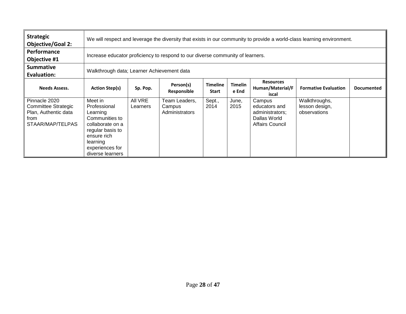| <b>Strategic</b><br><b>Objective/Goal 2:</b>                                             |                                                                                                                                                                 | We will respect and leverage the diversity that exists in our community to provide a world-class learning environment.                                                                                  |                                           |                |               |                                                                                      |                                                 |  |  |  |
|------------------------------------------------------------------------------------------|-----------------------------------------------------------------------------------------------------------------------------------------------------------------|---------------------------------------------------------------------------------------------------------------------------------------------------------------------------------------------------------|-------------------------------------------|----------------|---------------|--------------------------------------------------------------------------------------|-------------------------------------------------|--|--|--|
| Performance<br>Objective #1                                                              |                                                                                                                                                                 | Increase educator proficiency to respond to our diverse community of learners.                                                                                                                          |                                           |                |               |                                                                                      |                                                 |  |  |  |
| <b>Summative</b><br><b>Evaluation:</b>                                                   | Walkthrough data; Learner Achievement data                                                                                                                      |                                                                                                                                                                                                         |                                           |                |               |                                                                                      |                                                 |  |  |  |
| <b>Needs Assess.</b>                                                                     | <b>Action Step(s)</b>                                                                                                                                           | <b>Resources</b><br><b>Timelin</b><br>Person(s)<br><b>Timeline</b><br>Human/Material/F<br>Sp. Pop.<br><b>Formative Evaluation</b><br><b>Documented</b><br>e End<br>Responsible<br><b>Start</b><br>iscal |                                           |                |               |                                                                                      |                                                 |  |  |  |
| Pinnacle 2020<br>Committee Strategic<br>Plan, Authentic data<br>from<br>STAAR/MAP/TELPAS | Meet in<br>Professional<br>Learning<br>Communities to<br>collaborate on a<br>regular basis to<br>ensure rich<br>learning<br>experiences for<br>diverse learners | All VRE<br>Learners                                                                                                                                                                                     | Team Leaders,<br>Campus<br>Administrators | Sept.,<br>2014 | June,<br>2015 | Campus<br>educators and<br>administrators;<br>Dallas World<br><b>Affairs Council</b> | Walkthroughs,<br>lesson design,<br>observations |  |  |  |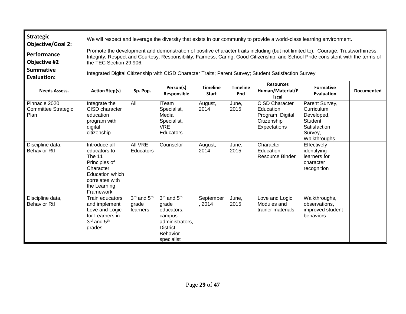| <b>Strategic</b><br><b>Objective/Goal 2:</b>        |                                                                                                                                                                    | We will respect and leverage the diversity that exists in our community to provide a world-class learning environment.                                                                                                                                                                            |                                                                                                                     |                     |               |                                                                                       |                                                                                                  |                   |  |  |  |
|-----------------------------------------------------|--------------------------------------------------------------------------------------------------------------------------------------------------------------------|---------------------------------------------------------------------------------------------------------------------------------------------------------------------------------------------------------------------------------------------------------------------------------------------------|---------------------------------------------------------------------------------------------------------------------|---------------------|---------------|---------------------------------------------------------------------------------------|--------------------------------------------------------------------------------------------------|-------------------|--|--|--|
| Performance<br><b>Objective #2</b>                  |                                                                                                                                                                    | Promote the development and demonstration of positive character traits including (but not limited to): Courage, Trustworthiness,<br>Integrity, Respect and Courtesy, Responsibility, Fairness, Caring, Good Citizenship, and School Pride consistent with the terms of<br>the TEC Section 29.906. |                                                                                                                     |                     |               |                                                                                       |                                                                                                  |                   |  |  |  |
| <b>Summative</b><br><b>Evaluation:</b>              |                                                                                                                                                                    | Integrated Digital Citizenship with CISD Character Traits; Parent Survey; Student Satisfaction Survey                                                                                                                                                                                             |                                                                                                                     |                     |               |                                                                                       |                                                                                                  |                   |  |  |  |
| <b>Needs Assess.</b>                                | <b>Resources</b><br><b>Timeline</b><br>Person(s)<br><b>Timeline</b><br>Human/Material/F<br><b>Action Step(s)</b><br>Sp. Pop.<br>Responsible<br><b>Start</b><br>End |                                                                                                                                                                                                                                                                                                   |                                                                                                                     |                     |               |                                                                                       | <b>Formative</b><br><b>Evaluation</b>                                                            | <b>Documented</b> |  |  |  |
| Pinnacle 2020<br><b>Committee Strategic</b><br>Plan | Integrate the<br>CISD character<br>education<br>program with<br>digital<br>citizenship                                                                             | All                                                                                                                                                                                                                                                                                               | iTeam<br>Specialist,<br>Media<br>Specialist,<br><b>VRE</b><br>Educators                                             | August,<br>2014     | June,<br>2015 | <b>CISD Character</b><br>Education<br>Program, Digital<br>Citizenship<br>Expectations | Parent Survey,<br>Curriculum<br>Developed,<br>Student<br>Satisfaction<br>Survey,<br>Walkthroughs |                   |  |  |  |
| Discipline data,<br><b>Behavior Rtl</b>             | Introduce all<br>educators to<br>The 11<br>Principles of<br>Character<br><b>Education which</b><br>correlates with<br>the Learning<br>Framework                    | <b>All VRE</b><br><b>Educators</b>                                                                                                                                                                                                                                                                | Counselor                                                                                                           | August,<br>2014     | June,<br>2015 | Character<br>Education<br><b>Resource Binder</b>                                      | Effectively<br>identifying<br>learners for<br>character<br>recognition                           |                   |  |  |  |
| Discipline data,<br><b>Behavior Rtl</b>             | Train educators<br>and implement<br>Love and Logic<br>for Learners in<br>3rd and 5th<br>grades                                                                     | 3rd and 5th<br>grade<br>learners                                                                                                                                                                                                                                                                  | 3rd and 5th<br>grade<br>educators,<br>campus<br>administrators,<br><b>District</b><br><b>Behavior</b><br>specialist | September<br>, 2014 | June,<br>2015 | Love and Logic<br>Modules and<br>trainer materials                                    | Walkthroughs,<br>observations,<br>improved student<br>behaviors                                  |                   |  |  |  |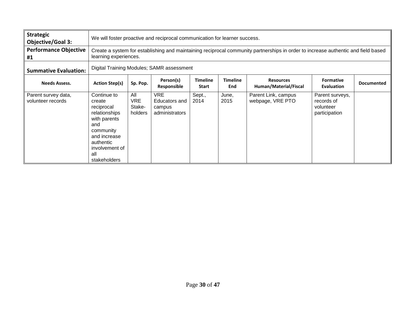| <b>Strategic</b><br><b>Objective/Goal 3:</b> |                                                                                                                                                                       | We will foster proactive and reciprocal communication for learner success.                                                                                 |                                                         |                                 |                        |                                           |                                                             |                   |  |
|----------------------------------------------|-----------------------------------------------------------------------------------------------------------------------------------------------------------------------|------------------------------------------------------------------------------------------------------------------------------------------------------------|---------------------------------------------------------|---------------------------------|------------------------|-------------------------------------------|-------------------------------------------------------------|-------------------|--|
| <b>Performance Objective</b><br>#1           |                                                                                                                                                                       | Create a system for establishing and maintaining reciprocal community partnerships in order to increase authentic and field based<br>learning experiences. |                                                         |                                 |                        |                                           |                                                             |                   |  |
| <b>Summative Evaluation:</b>                 |                                                                                                                                                                       | Digital Training Modules; SAMR assessment                                                                                                                  |                                                         |                                 |                        |                                           |                                                             |                   |  |
| <b>Needs Assess.</b>                         | <b>Action Step(s)</b>                                                                                                                                                 | Sp. Pop.                                                                                                                                                   | Person(s)<br>Responsible                                | <b>Timeline</b><br><b>Start</b> | <b>Timeline</b><br>End | <b>Resources</b><br>Human/Material/Fiscal | <b>Formative</b><br><b>Evaluation</b>                       | <b>Documented</b> |  |
| Parent survey data,<br>volunteer records     | Continue to<br>create<br>reciprocal<br>relationships<br>with parents<br>and<br>community<br>and increase<br>authentic<br>involvement of<br>all<br><b>stakeholders</b> | All<br><b>VRE</b><br>Stake-<br>holders                                                                                                                     | <b>VRE</b><br>Educators and<br>campus<br>administrators | Sept.,<br>2014                  | June,<br>2015          | Parent Link, campus<br>webpage, VRE PTO   | Parent surveys,<br>records of<br>volunteer<br>participation |                   |  |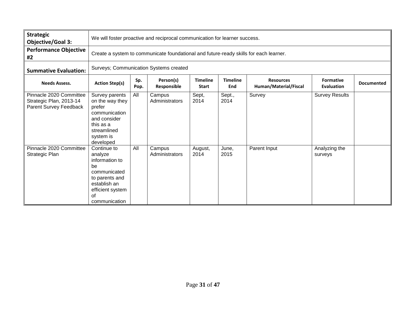| <b>Strategic</b><br><b>Objective/Goal 3:</b>                                 |                                                                                                                                             | We will foster proactive and reciprocal communication for learner success.            |                          |                                 |                        |                                           |                                       |                   |  |
|------------------------------------------------------------------------------|---------------------------------------------------------------------------------------------------------------------------------------------|---------------------------------------------------------------------------------------|--------------------------|---------------------------------|------------------------|-------------------------------------------|---------------------------------------|-------------------|--|
| <b>Performance Objective</b><br>#2                                           |                                                                                                                                             | Create a system to communicate foundational and future-ready skills for each learner. |                          |                                 |                        |                                           |                                       |                   |  |
| <b>Summative Evaluation:</b>                                                 |                                                                                                                                             | Surveys; Communication Systems created                                                |                          |                                 |                        |                                           |                                       |                   |  |
| <b>Needs Assess.</b>                                                         | <b>Action Step(s)</b>                                                                                                                       | Sp.<br>Pop.                                                                           | Person(s)<br>Responsible | <b>Timeline</b><br><b>Start</b> | <b>Timeline</b><br>End | <b>Resources</b><br>Human/Material/Fiscal | <b>Formative</b><br><b>Evaluation</b> | <b>Documented</b> |  |
| Pinnacle 2020 Committee<br>Strategic Plan, 2013-14<br>Parent Survey Feedback | Survey parents<br>on the way they<br>prefer<br>communication<br>and consider<br>this as a<br>streamlined<br>system is<br>developed          | All                                                                                   | Campus<br>Administrators | Sept,<br>2014                   | Sept.,<br>2014         | Survey                                    | <b>Survey Results</b>                 |                   |  |
| Pinnacle 2020 Committee<br>Strategic Plan                                    | Continue to<br>analyze<br>information to<br>be<br>communicated<br>to parents and<br>establish an<br>efficient system<br>οf<br>communication | All                                                                                   | Campus<br>Administrators | August,<br>2014                 | June,<br>2015          | Parent Input                              | Analyzing the<br>surveys              |                   |  |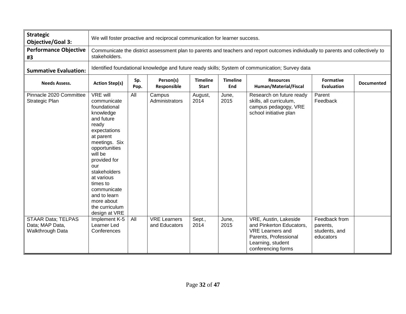| <b>Strategic</b><br><b>Objective/Goal 3:</b>                     |                                                                                                                                                                                                                                                                                                        | We will foster proactive and reciprocal communication for learner success.                                                                                                                                      |                                      |                 |               |                                                                                                                                                  |                                                         |  |  |
|------------------------------------------------------------------|--------------------------------------------------------------------------------------------------------------------------------------------------------------------------------------------------------------------------------------------------------------------------------------------------------|-----------------------------------------------------------------------------------------------------------------------------------------------------------------------------------------------------------------|--------------------------------------|-----------------|---------------|--------------------------------------------------------------------------------------------------------------------------------------------------|---------------------------------------------------------|--|--|
| <b>Performance Objective</b><br>#3                               | stakeholders.                                                                                                                                                                                                                                                                                          | Communicate the district assessment plan to parents and teachers and report outcomes individually to parents and collectively to                                                                                |                                      |                 |               |                                                                                                                                                  |                                                         |  |  |
| <b>Summative Evaluation:</b>                                     |                                                                                                                                                                                                                                                                                                        | Identified foundational knowledge and future ready skills; System of communication; Survey data                                                                                                                 |                                      |                 |               |                                                                                                                                                  |                                                         |  |  |
| <b>Needs Assess.</b>                                             | <b>Action Step(s)</b>                                                                                                                                                                                                                                                                                  | Person(s)<br><b>Timeline</b><br><b>Timeline</b><br>Sp.<br><b>Resources</b><br><b>Formative</b><br><b>Documented</b><br>Responsible<br>Human/Material/Fiscal<br>Pop.<br><b>Start</b><br>End<br><b>Evaluation</b> |                                      |                 |               |                                                                                                                                                  |                                                         |  |  |
| Pinnacle 2020 Committee<br>Strategic Plan                        | VRE will<br>communicate<br>foundational<br>knowledge<br>and future<br>ready<br>expectations<br>at parent<br>meetings. Six<br>opportunities<br>will be<br>provided for<br>our<br>stakeholders<br>at various<br>times to<br>communicate<br>and to learn<br>more about<br>the curriculum<br>design at VRE | All                                                                                                                                                                                                             | Campus<br>Administrators             | August,<br>2014 | June,<br>2015 | Research on future ready<br>skills, all curriculum,<br>campus pedagogy, VRE<br>school initiative plan                                            | Parent<br>Feedback                                      |  |  |
| <b>STAAR Data; TELPAS</b><br>Data; MAP Data,<br>Walkthrough Data | Implement K-5<br>Learner Led<br>Conferences                                                                                                                                                                                                                                                            | All                                                                                                                                                                                                             | <b>VRE</b> Learners<br>and Educators | Sept.,<br>2014  | June,<br>2015 | VRE, Austin, Lakeside<br>and Pinkerton Educators,<br><b>VRE Learners and</b><br>Parents, Professional<br>Learning, student<br>conferencing forms | Feedback from<br>parents,<br>students, and<br>educators |  |  |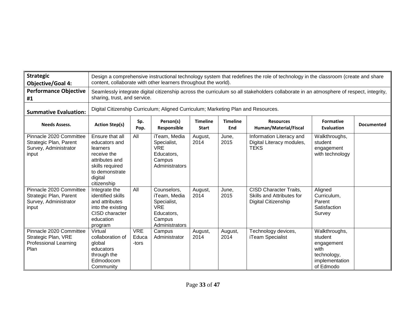| <b>Strategic</b><br><b>Objective/Goal 4:</b>                                           |                                                                                                                                              | Design a comprehensive instructional technology system that redefines the role of technology in the classroom (create and share<br>content, collaborate with other learners throughout the world). |                                                                                                    |                                                                                              |               |                                                                                                          |                                                            |  |  |
|----------------------------------------------------------------------------------------|----------------------------------------------------------------------------------------------------------------------------------------------|----------------------------------------------------------------------------------------------------------------------------------------------------------------------------------------------------|----------------------------------------------------------------------------------------------------|----------------------------------------------------------------------------------------------|---------------|----------------------------------------------------------------------------------------------------------|------------------------------------------------------------|--|--|
| <b>Performance Objective</b><br>#1                                                     |                                                                                                                                              | Seamlessly integrate digital citizenship across the curriculum so all stakeholders collaborate in an atmosphere of respect, integrity,<br>sharing, trust, and service.                             |                                                                                                    |                                                                                              |               |                                                                                                          |                                                            |  |  |
| <b>Summative Evaluation:</b>                                                           |                                                                                                                                              | Digital Citizenship Curriculum; Aligned Curriculum; Marketing Plan and Resources.                                                                                                                  |                                                                                                    |                                                                                              |               |                                                                                                          |                                                            |  |  |
| <b>Needs Assess.</b>                                                                   | <b>Action Step(s)</b>                                                                                                                        | <b>Timeline</b><br>Person(s)<br><b>Timeline</b><br><b>Formative</b><br>Sp.<br><b>Resources</b><br>Responsible<br>Human/Material/Fiscal<br>Pop.<br>End<br><b>Evaluation</b><br><b>Start</b>         |                                                                                                    |                                                                                              |               |                                                                                                          |                                                            |  |  |
| Pinnacle 2020 Committee<br>Strategic Plan, Parent<br>Survey, Administrator<br>input    | Ensure that all<br>educators and<br>learners<br>receive the<br>attributes and<br>skills required<br>to demonstrate<br>digital<br>citizenship | All                                                                                                                                                                                                | iTeam, Media<br>Specialist,<br><b>VRE</b><br>Educators,<br>Campus<br>Administrators                | August,<br>2014                                                                              | June,<br>2015 | Information Literacy and<br>Digital Literacy modules,<br><b>TEKS</b>                                     | Walkthroughs,<br>student<br>engagement<br>with technology  |  |  |
| Pinnacle 2020 Committee<br>Strategic Plan, Parent<br>Survey, Administrator<br>input    | Integrate the<br>identified skills<br>and attributes<br>into the existing<br>CISD character<br>education<br>program                          | All                                                                                                                                                                                                | Counselors,<br>iTeam, Media<br>Specialist,<br><b>VRE</b><br>Educators.<br>Campus<br>Administrators | August,<br>2014                                                                              | June,<br>2015 | <b>CISD Character Traits.</b><br>Skills and Attributes for<br>Digital Citizenship<br>Technology devices, | Aligned<br>Curriculum,<br>Parent<br>Satisfaction<br>Survey |  |  |
| Pinnacle 2020 Committee<br>Strategic Plan, VRE<br><b>Professional Learning</b><br>Plan | Virtual<br>collaboration of<br>global<br>educators<br>through the<br>Edmodocom<br>Community                                                  | <b>VRE</b><br>Educa<br>-tors                                                                                                                                                                       | Campus<br>Administrator                                                                            | Walkthroughs,<br>student<br>engagement<br>with<br>technology,<br>implementation<br>of Edmodo |               |                                                                                                          |                                                            |  |  |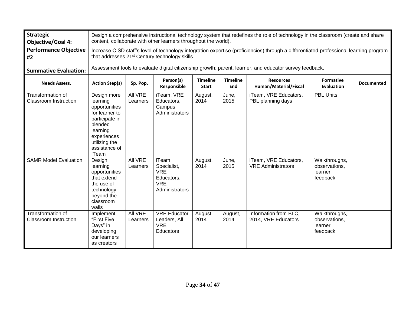| <b>Strategic</b><br><b>Objective/Goal 4:</b>      |                                                                                                                                                                                                                  |                                                                                                                                                                                                      | content, collaborate with other learners throughout the world).                         |                 |                 | Design a comprehensive instructional technology system that redefines the role of technology in the classroom (create and share |                                                       |                   |  |
|---------------------------------------------------|------------------------------------------------------------------------------------------------------------------------------------------------------------------------------------------------------------------|------------------------------------------------------------------------------------------------------------------------------------------------------------------------------------------------------|-----------------------------------------------------------------------------------------|-----------------|-----------------|---------------------------------------------------------------------------------------------------------------------------------|-------------------------------------------------------|-------------------|--|
| <b>Performance Objective</b><br>#2                |                                                                                                                                                                                                                  | Increase CISD staff's level of technology integration expertise (proficiencies) through a differentiated professional learning program<br>that addresses 21 <sup>st</sup> Century technology skills. |                                                                                         |                 |                 |                                                                                                                                 |                                                       |                   |  |
| <b>Summative Evaluation:</b>                      |                                                                                                                                                                                                                  | Assessment tools to evaluate digital citizenship growth; parent, learner, and educator survey feedback.                                                                                              |                                                                                         |                 |                 |                                                                                                                                 |                                                       |                   |  |
| <b>Needs Assess.</b>                              | Person(s)<br><b>Timeline</b><br><b>Timeline</b><br><b>Formative</b><br><b>Resources</b><br><b>Action Step(s)</b><br>Sp. Pop.<br>Responsible<br>Human/Material/Fiscal<br>End<br><b>Evaluation</b><br><b>Start</b> |                                                                                                                                                                                                      |                                                                                         |                 |                 |                                                                                                                                 |                                                       | <b>Documented</b> |  |
| Transformation of<br><b>Classroom Instruction</b> | Design more<br>learning<br>opportunities<br>for learner to<br>participate in<br>blended<br>learning<br>experiences<br>utilizing the<br>assistance of<br>iTeam                                                    | All VRE<br>Learners                                                                                                                                                                                  | iTeam, VRE<br>Educators,<br>Campus<br>Administrators                                    | August,<br>2014 | June,<br>2015   | iTeam, VRE Educators,<br>PBL planning days                                                                                      | <b>PBL Units</b>                                      |                   |  |
| <b>SAMR Model Evaluation</b>                      | Design<br>learning<br>opportunities<br>that extend<br>the use of<br>technology<br>beyond the<br>classroom<br>walls                                                                                               | All VRE<br>Learners                                                                                                                                                                                  | <b>iTeam</b><br>Specialist,<br><b>VRE</b><br>Educators,<br><b>VRE</b><br>Administrators | August,<br>2014 | June,<br>2015   | iTeam, VRE Educators,<br><b>VRE Administrators</b>                                                                              | Walkthroughs,<br>observations,<br>learner<br>feedback |                   |  |
| Transformation of<br><b>Classroom Instruction</b> | Implement<br>"First Five<br>Days" in<br>developing<br>our learners<br>as creators                                                                                                                                | <b>All VRE</b><br>Learners                                                                                                                                                                           | <b>VRE</b> Educator<br>Leaders, All<br><b>VRE</b><br>Educators                          | August,<br>2014 | August,<br>2014 | Information from BLC,<br>2014, VRE Educators                                                                                    | Walkthroughs,<br>observations,<br>learner<br>feedback |                   |  |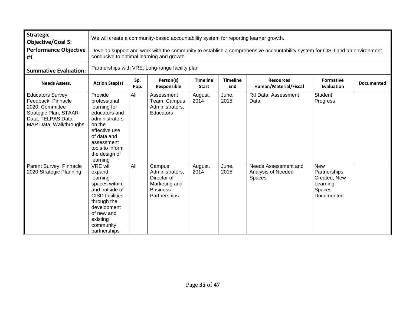| <b>Strategic</b><br><b>Objective/Goal 5:</b>                                                                                              |                                                                                                                                                                                         | We will create a community-based accountability system for reporting learner growth.                                                                                    |                                                                                              |                 |               |                                                      |                                                                                       |  |
|-------------------------------------------------------------------------------------------------------------------------------------------|-----------------------------------------------------------------------------------------------------------------------------------------------------------------------------------------|-------------------------------------------------------------------------------------------------------------------------------------------------------------------------|----------------------------------------------------------------------------------------------|-----------------|---------------|------------------------------------------------------|---------------------------------------------------------------------------------------|--|
| <b>Performance Objective</b><br>#1                                                                                                        |                                                                                                                                                                                         | Develop support and work with the community to establish a comprehensive accountability system for CISD and an environment<br>conducive to optimal learning and growth. |                                                                                              |                 |               |                                                      |                                                                                       |  |
| <b>Summative Evaluation:</b>                                                                                                              |                                                                                                                                                                                         | Partnerships with VRE; Long-range facility plan                                                                                                                         |                                                                                              |                 |               |                                                      |                                                                                       |  |
| <b>Needs Assess.</b>                                                                                                                      | Person(s)<br><b>Timeline</b><br>Sp.<br><b>Timeline</b><br><b>Resources</b><br><b>Action Step(s)</b><br>Human/Material/Fiscal<br>Responsible<br>End<br>Pop.<br><b>Start</b>              |                                                                                                                                                                         |                                                                                              |                 |               | <b>Formative</b><br><b>Evaluation</b>                | <b>Documented</b>                                                                     |  |
| <b>Educators Survey</b><br>Feedback, Pinnacle<br>2020, Committee<br>Strategic Plan, STAAR<br>Data; TELPAS Data;<br>MAP Data, Walkthroughs | Provide<br>professional<br>learning for<br>educators and<br>administrators<br>on the<br>effective use<br>of data and<br>assessment<br>tools to inform<br>the design of<br>learning      | All                                                                                                                                                                     | Assessment<br>Team, Campus<br>Administrators,<br>Educators                                   | August,<br>2014 | June,<br>2015 | Rtl Data, Assessment<br>Data                         | Student<br>Progress                                                                   |  |
| Parent Survey, Pinnacle<br>2020 Strategic Planning                                                                                        | <b>VRE will</b><br>expand<br>learning<br>spaces within<br>and outside of<br><b>CISD</b> facilities<br>through the<br>development<br>of new and<br>existing<br>community<br>partnerships | All                                                                                                                                                                     | Campus<br>Administrators,<br>Director of<br>Marketing and<br><b>Business</b><br>Partnerships | August,<br>2014 | June,<br>2015 | Needs Assessment and<br>Analysis of Needed<br>Spaces | <b>New</b><br>Partnerships<br>Created, New<br>Learning<br><b>Spaces</b><br>Documented |  |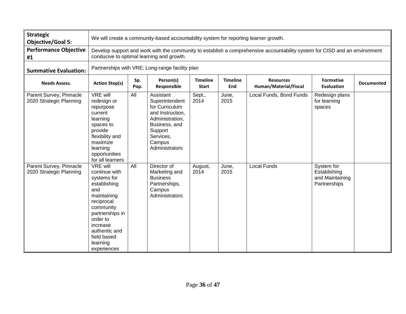| <b>Strategic</b><br><b>Objective/Goal 5:</b>       |                                                                                                                                                                                                                        | We will create a community-based accountability system for reporting learner growth.                                                                                                                            |                                                                                                                                                           |                 |               |                         |                                                               |  |  |
|----------------------------------------------------|------------------------------------------------------------------------------------------------------------------------------------------------------------------------------------------------------------------------|-----------------------------------------------------------------------------------------------------------------------------------------------------------------------------------------------------------------|-----------------------------------------------------------------------------------------------------------------------------------------------------------|-----------------|---------------|-------------------------|---------------------------------------------------------------|--|--|
| <b>Performance Objective</b><br>#1                 |                                                                                                                                                                                                                        | Develop support and work with the community to establish a comprehensive accountability system for CISD and an environment<br>conducive to optimal learning and growth.                                         |                                                                                                                                                           |                 |               |                         |                                                               |  |  |
| <b>Summative Evaluation:</b>                       |                                                                                                                                                                                                                        | Partnerships with VRE; Long-range facility plan                                                                                                                                                                 |                                                                                                                                                           |                 |               |                         |                                                               |  |  |
| <b>Needs Assess.</b>                               | <b>Action Step(s)</b>                                                                                                                                                                                                  | Person(s)<br><b>Timeline</b><br><b>Timeline</b><br>Sp.<br><b>Resources</b><br><b>Formative</b><br><b>Documented</b><br>Human/Material/Fiscal<br>Responsible<br>End<br><b>Evaluation</b><br>Pop.<br><b>Start</b> |                                                                                                                                                           |                 |               |                         |                                                               |  |  |
| Parent Survey, Pinnacle<br>2020 Strategic Planning | <b>VRE will</b><br>redesign or<br>repurpose<br>current<br>learning<br>spaces to<br>provide<br>flexibility and<br>maximize<br>learning<br>opportunities<br>for all learners                                             | All                                                                                                                                                                                                             | Assistant<br>Superintendent<br>for Curriculum<br>and Instruction,<br>Administration,<br>Business, and<br>Support<br>Services,<br>Campus<br>Administrators | Sept.,<br>2014  | June,<br>2015 | Local Funds, Bond Funds | Redesign plans<br>for learning<br>spaces                      |  |  |
| Parent Survey, Pinnacle<br>2020 Strategic Planning | <b>VRE will</b><br>continue with<br>systems for<br>establishing<br>and<br>maintaining<br>reciprocal<br>community<br>partnerships in<br>order to<br>increase<br>authentic and<br>field based<br>learning<br>experiences | All                                                                                                                                                                                                             | Director of<br>Marketing and<br><b>Business</b><br>Partnerships,<br>Campus<br>Administrators                                                              | August,<br>2014 | June,<br>2015 | <b>Local Funds</b>      | System for<br>Establishing<br>and Maintaining<br>Partnerships |  |  |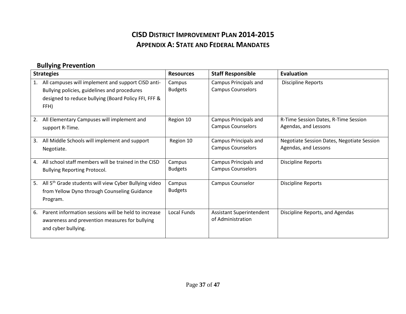#### **CISD DISTRICT IMPROVEMENT PLAN 2014-2015 APPENDIX A: STATE AND FEDERAL MANDATES**

#### **Bullying Prevention**

| <b>Strategies</b>                                                                                                                                                        | <b>Resources</b>         | <b>Staff Responsible</b>                             | <b>Evaluation</b>                                                  |
|--------------------------------------------------------------------------------------------------------------------------------------------------------------------------|--------------------------|------------------------------------------------------|--------------------------------------------------------------------|
| All campuses will implement and support CISD anti-<br>1.<br>Bullying policies, guidelines and procedures<br>designed to reduce bullying (Board Policy FFI, FFF &<br>FFH) | Campus<br><b>Budgets</b> | Campus Principals and<br><b>Campus Counselors</b>    | <b>Discipline Reports</b>                                          |
| All Elementary Campuses will implement and<br>2.<br>support R-Time.                                                                                                      | Region 10                | Campus Principals and<br><b>Campus Counselors</b>    | R-Time Session Dates, R-Time Session<br>Agendas, and Lessons       |
| All Middle Schools will implement and support<br>3.<br>Negotiate.                                                                                                        | Region 10                | Campus Principals and<br><b>Campus Counselors</b>    | Negotiate Session Dates, Negotiate Session<br>Agendas, and Lessons |
| All school staff members will be trained in the CISD<br>4.<br><b>Bullying Reporting Protocol.</b>                                                                        | Campus<br><b>Budgets</b> | Campus Principals and<br><b>Campus Counselors</b>    | <b>Discipline Reports</b>                                          |
| All 5 <sup>th</sup> Grade students will view Cyber Bullying video<br>5.<br>from Yellow Dyno through Counseling Guidance<br>Program.                                      | Campus<br><b>Budgets</b> | Campus Counselor                                     | <b>Discipline Reports</b>                                          |
| Parent information sessions will be held to increase<br>6.<br>awareness and prevention measures for bullying<br>and cyber bullying.                                      | <b>Local Funds</b>       | <b>Assistant Superintendent</b><br>of Administration | Discipline Reports, and Agendas                                    |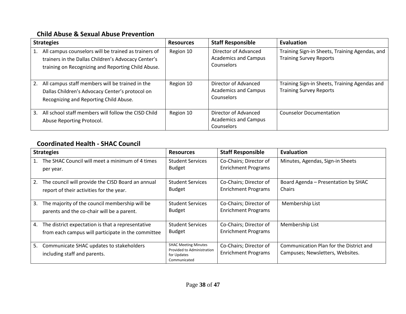#### **Child Abuse & Sexual Abuse Prevention**

| <b>Strategies</b>                                                                                                                                                 | <b>Resources</b> | <b>Staff Responsible</b>                                          | Evaluation                                                                       |
|-------------------------------------------------------------------------------------------------------------------------------------------------------------------|------------------|-------------------------------------------------------------------|----------------------------------------------------------------------------------|
| All campus counselors will be trained as trainers of<br>trainers in the Dallas Children's Advocacy Center's<br>training on Recognizing and Reporting Child Abuse. | Region 10        | Director of Advanced<br><b>Academics and Campus</b><br>Counselors | Training Sign-in Sheets, Training Agendas, and<br><b>Training Survey Reports</b> |
| All campus staff members will be trained in the<br>2.<br>Dallas Children's Advocacy Center's protocol on<br>Recognizing and Reporting Child Abuse.                | Region 10        | Director of Advanced<br><b>Academics and Campus</b><br>Counselors | Training Sign-in Sheets, Training Agendas and<br><b>Training Survey Reports</b>  |
| All school staff members will follow the CISD Child<br>3.<br>Abuse Reporting Protocol.                                                                            | Region 10        | Director of Advanced<br><b>Academics and Campus</b><br>Counselors | <b>Counselor Documentation</b>                                                   |

#### **Coordinated Health - SHAC Council**

| <b>Strategies</b>                                                                                             | <b>Resources</b>                                                                         | <b>Staff Responsible</b>                             | Evaluation                                                                  |
|---------------------------------------------------------------------------------------------------------------|------------------------------------------------------------------------------------------|------------------------------------------------------|-----------------------------------------------------------------------------|
| The SHAC Council will meet a minimum of 4 times<br>1.<br>per year.                                            | <b>Student Services</b><br><b>Budget</b>                                                 | Co-Chairs; Director of<br><b>Enrichment Programs</b> | Minutes, Agendas, Sign-in Sheets                                            |
| The council will provide the CISD Board an annual<br>2.<br>report of their activities for the year.           | <b>Student Services</b><br><b>Budget</b>                                                 | Co-Chairs; Director of<br><b>Enrichment Programs</b> | Board Agenda - Presentation by SHAC<br>Chairs                               |
| The majority of the council membership will be<br>3.<br>parents and the co-chair will be a parent.            | <b>Student Services</b><br><b>Budget</b>                                                 | Co-Chairs; Director of<br><b>Enrichment Programs</b> | Membership List                                                             |
| The district expectation is that a representative<br>4.<br>from each campus will participate in the committee | <b>Student Services</b><br><b>Budget</b>                                                 | Co-Chairs; Director of<br><b>Enrichment Programs</b> | Membership List                                                             |
| 5.<br>Communicate SHAC updates to stakeholders<br>including staff and parents.                                | <b>SHAC Meeting Minutes</b><br>Provided to Administration<br>for Updates<br>Communicated | Co-Chairs; Director of<br><b>Enrichment Programs</b> | Communication Plan for the District and<br>Campuses; Newsletters, Websites. |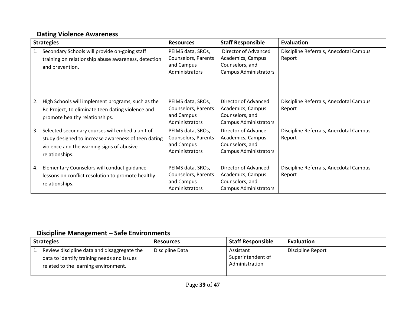#### **Dating Violence Awareness**

|    | <b>Strategies</b>                                                                                                                                                     | <b>Resources</b>                                                         | <b>Staff Responsible</b>                                                                     | <b>Evaluation</b>                                |
|----|-----------------------------------------------------------------------------------------------------------------------------------------------------------------------|--------------------------------------------------------------------------|----------------------------------------------------------------------------------------------|--------------------------------------------------|
| 1. | Secondary Schools will provide on-going staff<br>training on relationship abuse awareness, detection<br>and prevention.                                               | PEIMS data, SROs,<br>Counselors, Parents<br>and Campus<br>Administrators | Director of Advanced<br>Academics, Campus<br>Counselors, and<br><b>Campus Administrators</b> | Discipline Referrals, Anecdotal Campus<br>Report |
| 2. | High Schools will implement programs, such as the<br>Be Project, to eliminate teen dating violence and<br>promote healthy relationships.                              | PEIMS data, SROs,<br>Counselors, Parents<br>and Campus<br>Administrators | Director of Advanced<br>Academics, Campus<br>Counselors, and<br><b>Campus Administrators</b> | Discipline Referrals, Anecdotal Campus<br>Report |
| 3. | Selected secondary courses will embed a unit of<br>study designed to increase awareness of teen dating<br>violence and the warning signs of abusive<br>relationships. | PEIMS data, SROs,<br>Counselors, Parents<br>and Campus<br>Administrators | Director of Advance<br>Academics, Campus<br>Counselors, and<br><b>Campus Administrators</b>  | Discipline Referrals, Anecdotal Campus<br>Report |
| 4. | Elementary Counselors will conduct guidance<br>lessons on conflict resolution to promote healthy<br>relationships.                                                    | PEIMS data, SROs,<br>Counselors, Parents<br>and Campus<br>Administrators | Director of Advanced<br>Academics, Campus<br>Counselors, and<br><b>Campus Administrators</b> | Discipline Referrals, Anecdotal Campus<br>Report |

#### **Discipline Management – Safe Environments**

| <b>Strategies</b>                                                                                                                 | <b>Resources</b> | <b>Staff Responsible</b>                         | Evaluation        |
|-----------------------------------------------------------------------------------------------------------------------------------|------------------|--------------------------------------------------|-------------------|
| Review discipline data and disaggregate the<br>data to identify training needs and issues<br>related to the learning environment. | Discipline Data  | Assistant<br>Superintendent of<br>Administration | Discipline Report |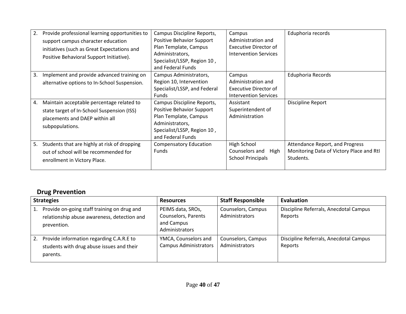| 2.<br>3. | Provide professional learning opportunities to<br>support campus character education<br>initiatives (such as Great Expectations and<br>Positive Behavioral Support Initiative).<br>Implement and provide advanced training on | Campus Discipline Reports,<br><b>Positive Behavior Support</b><br>Plan Template, Campus<br>Administrators,<br>Specialist/LSSP, Region 10,<br>and Federal Funds<br>Campus Administrators, | Campus<br>Administration and<br>Executive Director of<br><b>Intervention Services</b><br>Campus | Eduphoria records<br>Eduphoria Records                                                   |
|----------|-------------------------------------------------------------------------------------------------------------------------------------------------------------------------------------------------------------------------------|------------------------------------------------------------------------------------------------------------------------------------------------------------------------------------------|-------------------------------------------------------------------------------------------------|------------------------------------------------------------------------------------------|
|          | alternative options to In-School Suspension.                                                                                                                                                                                  | Region 10, Intervention<br>Specialist/LSSP, and Federal<br><b>Funds</b>                                                                                                                  | Administration and<br>Executive Director of<br><b>Intervention Services</b>                     |                                                                                          |
| 4.       | Maintain acceptable percentage related to<br>state target of In-School Suspension (ISS)<br>placements and DAEP within all<br>subpopulations.                                                                                  | Campus Discipline Reports,<br>Positive Behavior Support<br>Plan Template, Campus<br>Administrators,<br>Specialist/LSSP, Region 10,<br>and Federal Funds                                  | Assistant<br>Superintendent of<br>Administration                                                | Discipline Report                                                                        |
| 5.       | Students that are highly at risk of dropping<br>out of school will be recommended for<br>enrollment in Victory Place.                                                                                                         | <b>Compensatory Education</b><br><b>Funds</b>                                                                                                                                            | High School<br>Counselors and High<br><b>School Principals</b>                                  | Attendance Report, and Progress<br>Monitoring Data of Victory Place and RtI<br>Students. |

#### **Drug Prevention**

|    | <b>Strategies</b>                                                                                         | <b>Resources</b>                                                         | <b>Staff Responsible</b>             | <b>Evaluation</b>                                 |
|----|-----------------------------------------------------------------------------------------------------------|--------------------------------------------------------------------------|--------------------------------------|---------------------------------------------------|
| 1. | Provide on-going staff training on drug and<br>relationship abuse awareness, detection and<br>prevention. | PEIMS data, SROs,<br>Counselors, Parents<br>and Campus<br>Administrators | Counselors, Campus<br>Administrators | Discipline Referrals, Anecdotal Campus<br>Reports |
| 2. | Provide information regarding C.A.R.E to<br>students with drug abuse issues and their<br>parents.         | YMCA, Counselors and<br><b>Campus Administrators</b>                     | Counselors, Campus<br>Administrators | Discipline Referrals, Anecdotal Campus<br>Reports |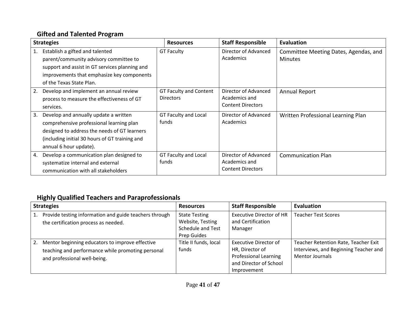#### **Gifted and Talented Program**

|    | <b>Strategies</b>                              | <b>Resources</b>              | <b>Staff Responsible</b> | Evaluation                            |
|----|------------------------------------------------|-------------------------------|--------------------------|---------------------------------------|
| 1. | Establish a gifted and talented                | <b>GT Faculty</b>             | Director of Advanced     | Committee Meeting Dates, Agendas, and |
|    | parent/community advisory committee to         |                               | Academics                | <b>Minutes</b>                        |
|    | support and assist in GT services planning and |                               |                          |                                       |
|    | improvements that emphasize key components     |                               |                          |                                       |
|    | of the Texas State Plan.                       |                               |                          |                                       |
| 2. | Develop and implement an annual review         | <b>GT Faculty and Content</b> | Director of Advanced     | Annual Report                         |
|    | process to measure the effectiveness of GT     | <b>Directors</b>              | Academics and            |                                       |
|    | services.                                      |                               | <b>Content Directors</b> |                                       |
| 3. | Develop and annually update a written          | GT Faculty and Local          | Director of Advanced     | Written Professional Learning Plan    |
|    | comprehensive professional learning plan       | funds                         | Academics                |                                       |
|    | designed to address the needs of GT learners   |                               |                          |                                       |
|    | (including initial 30 hours of GT training and |                               |                          |                                       |
|    | annual 6 hour update).                         |                               |                          |                                       |
| 4. | Develop a communication plan designed to       | GT Faculty and Local          | Director of Advanced     | <b>Communication Plan</b>             |
|    | systematize internal and external              | funds                         | Academics and            |                                       |
|    | communication with all stakeholders            |                               | <b>Content Directors</b> |                                       |

#### **Highly Qualified Teachers and Paraprofessionals**

| <b>Strategies</b> |                                                                                                                                      | <b>Resources</b>                                                                    | <b>Staff Responsible</b>                                                                                          | <b>Evaluation</b>                                                                                       |
|-------------------|--------------------------------------------------------------------------------------------------------------------------------------|-------------------------------------------------------------------------------------|-------------------------------------------------------------------------------------------------------------------|---------------------------------------------------------------------------------------------------------|
| 1.                | Provide testing information and guide teachers through<br>the certification process as needed.                                       | <b>State Testing</b><br>Website, Testing<br><b>Schedule and Test</b><br>Prep Guides | <b>Executive Director of HR</b><br>and Certification<br>Manager                                                   | <b>Teacher Test Scores</b>                                                                              |
| 2.                | Mentor beginning educators to improve effective<br>teaching and performance while promoting personal<br>and professional well-being. | Title II funds, local<br>funds                                                      | Executive Director of<br>HR, Director of<br><b>Professional Learning</b><br>and Director of School<br>Improvement | Teacher Retention Rate, Teacher Exit<br>Interviews, and Beginning Teacher and<br><b>Mentor Journals</b> |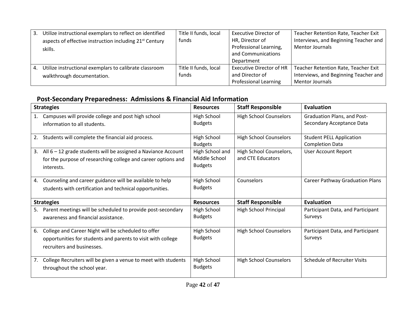| 3. | Utilize instructional exemplars to reflect on identified<br>aspects of effective instruction including 21 <sup>st</sup> Century<br>skills. | Title II funds, local<br>funds | <b>Executive Director of</b><br>HR, Director of<br>Professional Learning,<br>and Communications | Teacher Retention Rate, Teacher Exit<br>Interviews, and Beginning Teacher and<br><b>Mentor Journals</b> |
|----|--------------------------------------------------------------------------------------------------------------------------------------------|--------------------------------|-------------------------------------------------------------------------------------------------|---------------------------------------------------------------------------------------------------------|
|    |                                                                                                                                            |                                | Department                                                                                      |                                                                                                         |
| 4. | Utilize instructional exemplars to calibrate classroom<br>walkthrough documentation.                                                       | Title II funds, local<br>funds | <b>Executive Director of HR</b><br>and Director of<br><b>Professional Learning</b>              | Teacher Retention Rate, Teacher Exit<br>Interviews, and Beginning Teacher and<br><b>Mentor Journals</b> |

#### **Post-Secondary Preparedness: Admissions & Financial Aid Information**

|    | <b>Strategies</b>                                                                                                                                 | <b>Resources</b>                                   | <b>Staff Responsible</b>                     | <b>Evaluation</b>                                               |
|----|---------------------------------------------------------------------------------------------------------------------------------------------------|----------------------------------------------------|----------------------------------------------|-----------------------------------------------------------------|
|    | Campuses will provide college and post high school<br>information to all students.                                                                | High School<br><b>Budgets</b>                      | <b>High School Counselors</b>                | <b>Graduation Plans, and Post-</b><br>Secondary Acceptance Data |
| 2. | Students will complete the financial aid process.                                                                                                 | High School<br><b>Budgets</b>                      | <b>High School Counselors</b>                | <b>Student PELL Application</b><br><b>Completion Data</b>       |
| 3. | All $6 - 12$ grade students will be assigned a Naviance Account<br>for the purpose of researching college and career options and<br>interests.    | High School and<br>Middle School<br><b>Budgets</b> | High School Counselors,<br>and CTE Educators | User Account Report                                             |
| 4. | Counseling and career guidance will be available to help<br>students with certification and technical opportunities.                              | High School<br><b>Budgets</b>                      | Counselors                                   | <b>Career Pathway Graduation Plans</b>                          |
|    | <b>Strategies</b>                                                                                                                                 | <b>Resources</b>                                   | <b>Staff Responsible</b>                     | <b>Evaluation</b>                                               |
| 5. | Parent meetings will be scheduled to provide post-secondary<br>awareness and financial assistance.                                                | High School<br><b>Budgets</b>                      | High School Principal                        | Participant Data, and Participant<br>Surveys                    |
| 6. | College and Career Night will be scheduled to offer<br>opportunities for students and parents to visit with college<br>recruiters and businesses. | High School<br><b>Budgets</b>                      | <b>High School Counselors</b>                | Participant Data, and Participant<br>Surveys                    |
| 7. | College Recruiters will be given a venue to meet with students<br>throughout the school year.                                                     | High School<br><b>Budgets</b>                      | <b>High School Counselors</b>                | <b>Schedule of Recruiter Visits</b>                             |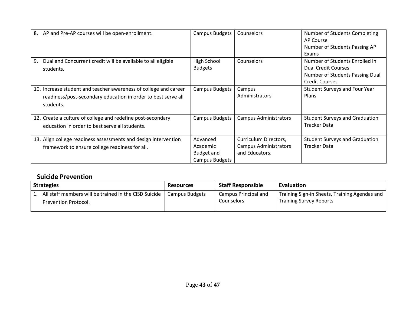| 8.<br>AP and Pre-AP courses will be open-enrollment.                                                                                           | <b>Campus Budgets</b>                                       | <b>Counselors</b>                                                       | Number of Students Completing<br>AP Course<br>Number of Students Passing AP<br>Exams                                     |
|------------------------------------------------------------------------------------------------------------------------------------------------|-------------------------------------------------------------|-------------------------------------------------------------------------|--------------------------------------------------------------------------------------------------------------------------|
| Dual and Concurrent credit will be available to all eligible<br>9.<br>students.                                                                | High School<br><b>Budgets</b>                               | Counselors                                                              | Number of Students Enrolled in<br><b>Dual Credit Courses</b><br>Number of Students Passing Dual<br><b>Credit Courses</b> |
| 10. Increase student and teacher awareness of college and career<br>readiness/post-secondary education in order to best serve all<br>students. | <b>Campus Budgets</b>                                       | Campus<br>Administrators                                                | Student Surveys and Four Year<br>Plans                                                                                   |
| 12. Create a culture of college and redefine post-secondary<br>education in order to best serve all students.                                  | <b>Campus Budgets</b>                                       | <b>Campus Administrators</b>                                            | <b>Student Surveys and Graduation</b><br><b>Tracker Data</b>                                                             |
| 13. Align college readiness assessments and design intervention<br>framework to ensure college readiness for all.                              | Advanced<br>Academic<br><b>Budget and</b><br>Campus Budgets | Curriculum Directors,<br><b>Campus Administrators</b><br>and Educators. | <b>Student Surveys and Graduation</b><br><b>Tracker Data</b>                                                             |

#### **Suicide Prevention**

| <b>Strategies</b> |                                                                               | <b>Resources</b>      | <b>Staff Responsible</b>                  | Evaluation                                                                      |
|-------------------|-------------------------------------------------------------------------------|-----------------------|-------------------------------------------|---------------------------------------------------------------------------------|
|                   | All staff members will be trained in the CISD Suicide<br>Prevention Protocol. | <b>Campus Budgets</b> | Campus Principal and<br><b>Counselors</b> | Training Sign-in Sheets, Training Agendas and<br><b>Training Survey Reports</b> |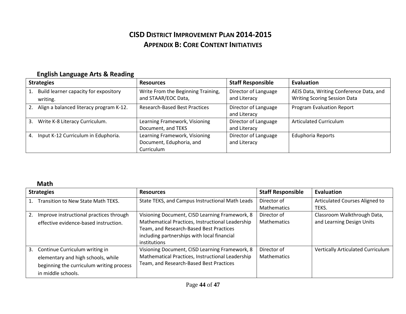#### **CISD DISTRICT IMPROVEMENT PLAN 2014-2015 APPENDIX B: CORE CONTENT INITIATIVES**

|    | <b>Strategies</b>                                 | <b>Resources</b>                                                        | <b>Staff Responsible</b>             | Evaluation                                                                     |  |
|----|---------------------------------------------------|-------------------------------------------------------------------------|--------------------------------------|--------------------------------------------------------------------------------|--|
| 1. | Build learner capacity for expository<br>writing. | Write From the Beginning Training,<br>and STAAR/EOC Data,               | Director of Language<br>and Literacy | AEIS Data, Writing Conference Data, and<br><b>Writing Scoring Session Data</b> |  |
| 2. | Align a balanced literacy program K-12.           | <b>Research-Based Best Practices</b>                                    | Director of Language<br>and Literacy | <b>Program Evaluation Report</b>                                               |  |
| 3. | Write K-8 Literacy Curriculum.                    | Learning Framework, Visioning<br>Document, and TEKS                     | Director of Language<br>and Literacy | Articulated Curriculum                                                         |  |
|    | 4. Input K-12 Curriculum in Eduphoria.            | Learning Framework, Visioning<br>Document, Eduphoria, and<br>Curriculum | Director of Language<br>and Literacy | <b>Eduphoria Reports</b>                                                       |  |

#### **English Language Arts & Reading**

#### **Math**

|    | <b>Strategies</b>                                                                                                                      | <b>Resources</b>                                                                                                                                                                                                    | <b>Staff Responsible</b>          | Evaluation                                               |  |
|----|----------------------------------------------------------------------------------------------------------------------------------------|---------------------------------------------------------------------------------------------------------------------------------------------------------------------------------------------------------------------|-----------------------------------|----------------------------------------------------------|--|
|    | Transition to New State Math TEKS.                                                                                                     | State TEKS, and Campus Instructional Math Leads                                                                                                                                                                     | Director of<br><b>Mathematics</b> | Articulated Courses Aligned to<br>TEKS.                  |  |
| 2. | Improve instructional practices through<br>effective evidence-based instruction.                                                       | Visioning Document, CISD Learning Framework, 8<br>Mathematical Practices, Instructional Leadership<br>Team, and Research-Based Best Practices<br>including partnerships with local financial<br><i>institutions</i> | Director of<br>Mathematics        | Classroom Walkthrough Data,<br>and Learning Design Units |  |
| 3. | Continue Curriculum writing in<br>elementary and high schools, while<br>beginning the curriculum writing process<br>in middle schools. | Visioning Document, CISD Learning Framework, 8<br>Mathematical Practices, Instructional Leadership<br>Team, and Research-Based Best Practices                                                                       | Director of<br>Mathematics        | <b>Vertically Articulated Curriculum</b>                 |  |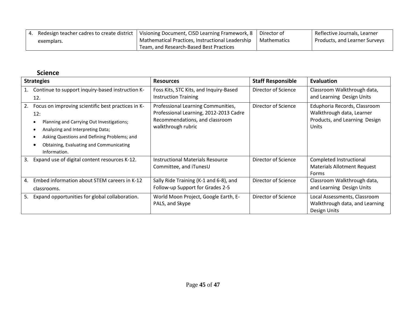|            | Redesign teacher cadres to create district   Visioning Document, CISD Learning Framework, 8   Director of |               | Reflective Journals, Learner  |
|------------|-----------------------------------------------------------------------------------------------------------|---------------|-------------------------------|
| exemplars. | Mathematical Practices, Instructional Leadership                                                          | l Mathematics | Products, and Learner Surveys |
|            | Team, and Research-Based Best Practices                                                                   |               |                               |

#### **Science**

| <b>Strategies</b> |                                                                                                                                                                                                                                                                                     | <b>Resources</b>                                                                                                                     | <b>Staff Responsible</b> | <b>Evaluation</b>                                                                                   |
|-------------------|-------------------------------------------------------------------------------------------------------------------------------------------------------------------------------------------------------------------------------------------------------------------------------------|--------------------------------------------------------------------------------------------------------------------------------------|--------------------------|-----------------------------------------------------------------------------------------------------|
|                   | Continue to support inquiry-based instruction K-<br>12.                                                                                                                                                                                                                             | Foss Kits, STC Kits, and Inquiry-Based<br><b>Instruction Training</b>                                                                | Director of Science      | Classroom Walkthrough data,<br>and Learning Design Units                                            |
| 2.                | Focus on improving scientific best practices in K-<br>12:<br>Planning and Carrying Out Investigations;<br>$\bullet$<br>Analyzing and Interpreting Data;<br>$\bullet$<br>Asking Questions and Defining Problems; and<br>٠<br>Obtaining, Evaluating and Communicating<br>Information. | Professional Learning Communities,<br>Professional Learning, 2012-2013 Cadre<br>Recommendations, and classroom<br>walkthrough rubric | Director of Science      | Eduphoria Records, Classroom<br>Walkthrough data, Learner<br>Products, and Learning Design<br>Units |
| 3.                | Expand use of digital content resources K-12.                                                                                                                                                                                                                                       | <b>Instructional Materials Resource</b><br>Committee, and iTunesU                                                                    | Director of Science      | Completed Instructional<br><b>Materials Allotment Request</b><br>Forms                              |
| 4.                | Embed information about STEM careers in K-12<br>classrooms.                                                                                                                                                                                                                         | Sally Ride Training (K-1 and 6-8), and<br>Follow-up Support for Grades 2-5                                                           | Director of Science      | Classroom Walkthrough data,<br>and Learning Design Units                                            |
| 5.                | Expand opportunities for global collaboration.                                                                                                                                                                                                                                      | World Moon Project, Google Earth, E-<br>PALS, and Skype                                                                              | Director of Science      | Local Assessments, Classroom<br>Walkthrough data, and Learning<br>Design Units                      |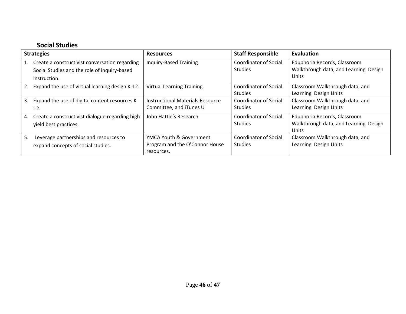#### **Social Studies**

| <b>Strategies</b>                                                                                    | <b>Resources</b>                                                        | <b>Staff Responsible</b>                       | Evaluation                                                                     |
|------------------------------------------------------------------------------------------------------|-------------------------------------------------------------------------|------------------------------------------------|--------------------------------------------------------------------------------|
| Create a constructivist conversation regarding<br>1.<br>Social Studies and the role of inquiry-based | Inquiry-Based Training                                                  | <b>Coordinator of Social</b><br><b>Studies</b> | Eduphoria Records, Classroom<br>Walkthrough data, and Learning Design<br>Units |
| instruction.<br>2.<br>Expand the use of virtual learning design K-12.                                | <b>Virtual Learning Training</b>                                        | Coordinator of Social<br><b>Studies</b>        | Classroom Walkthrough data, and<br>Learning Design Units                       |
| 3.<br>Expand the use of digital content resources K-<br>12.                                          | Instructional Materials Resource<br>Committee, and iTunes U             | <b>Coordinator of Social</b><br><b>Studies</b> | Classroom Walkthrough data, and<br>Learning Design Units                       |
| Create a constructivist dialogue regarding high<br>4.<br>yield best practices.                       | John Hattie's Research                                                  | <b>Coordinator of Social</b><br><b>Studies</b> | Eduphoria Records, Classroom<br>Walkthrough data, and Learning Design<br>Units |
| 5.<br>Leverage partnerships and resources to<br>expand concepts of social studies.                   | YMCA Youth & Government<br>Program and the O'Connor House<br>resources. | <b>Coordinator of Social</b><br><b>Studies</b> | Classroom Walkthrough data, and<br>Learning Design Units                       |